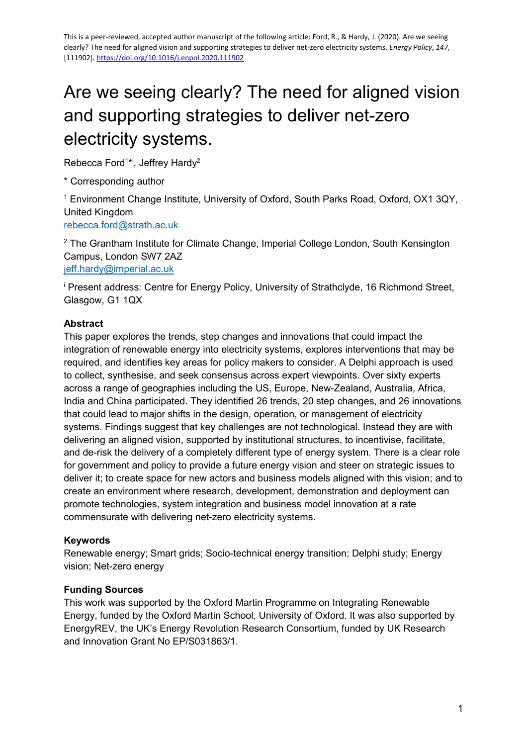# Are we seeing clearly? The need for aligned vision and supporting strategies to deliver net-zero electricity systems.

Rebecca Ford<sup>1\*i</sup>, Jeffrey Hardy<sup>2</sup>

\* Corresponding author

<sup>1</sup> Environment Change Institute, University of Oxford, South Parks Road, Oxford, OX1 3QY, United Kingdom

[rebecca.ford@strath.ac.uk](mailto:rebecca.ford@strath.ac.uk)

<sup>2</sup> The Grantham Institute for Climate Change, Imperial College London, South Kensington Campus, London SW7 2AZ [jeff.hardy@imperial.ac.uk](mailto:jeff.hardy@imperial.ac.uk)

<sup>i</sup> Present address: Centre for Energy Policy, University of Strathclyde, 16 Richmond Street, Glasgow, G1 1QX

#### **Abstract**

This paper explores the trends, step changes and innovations that could impact the integration of renewable energy into electricity systems, explores interventions that may be required, and identifies key areas for policy makers to consider. A Delphi approach is used to collect, synthesise, and seek consensus across expert viewpoints. Over sixty experts across a range of geographies including the US, Europe, New-Zealand, Australia, Africa, India and China participated. They identified 26 trends, 20 step changes, and 26 innovations that could lead to major shifts in the design, operation, or management of electricity systems. Findings suggest that key challenges are not technological. Instead they are with delivering an aligned vision, supported by institutional structures, to incentivise, facilitate, and de-risk the delivery of a completely different type of energy system. There is a clear role for government and policy to provide a future energy vision and steer on strategic issues to deliver it; to create space for new actors and business models aligned with this vision; and to create an environment where research, development, demonstration and deployment can promote technologies, system integration and business model innovation at a rate commensurate with delivering net-zero electricity systems.

#### **Keywords**

Renewable energy; Smart grids; Socio-technical energy transition; Delphi study; Energy vision; Net-zero energy

#### **Funding Sources**

This work was supported by the Oxford Martin Programme on Integrating Renewable Energy, funded by the Oxford Martin School, University of Oxford. It was also supported by EnergyREV, the UK's Energy Revolution Research Consortium, funded by UK Research and Innovation Grant No EP/S031863/1.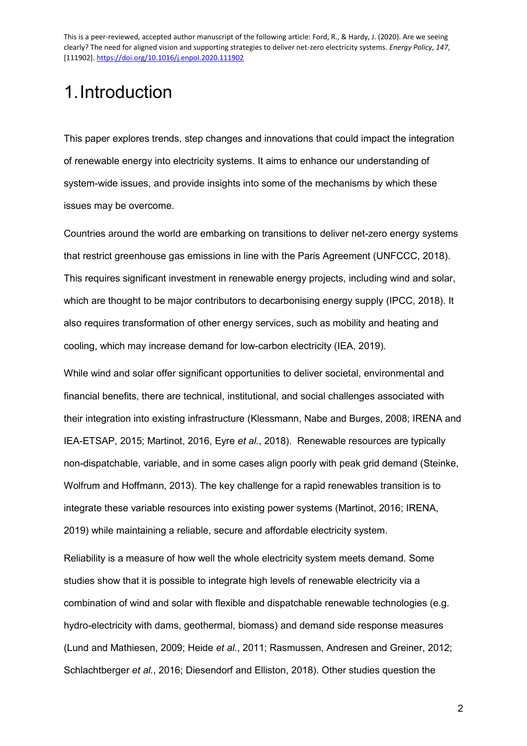# 1.Introduction

This paper explores trends, step changes and innovations that could impact the integration of renewable energy into electricity systems. It aims to enhance our understanding of system-wide issues, and provide insights into some of the mechanisms by which these issues may be overcome.

Countries around the world are embarking on transitions to deliver net-zero energy systems that restrict greenhouse gas emissions in line with the Paris Agreement (UNFCCC, 2018). This requires significant investment in renewable energy projects, including wind and solar, which are thought to be major contributors to decarbonising energy supply (IPCC, 2018). It also requires transformation of other energy services, such as mobility and heating and cooling, which may increase demand for low-carbon electricity (IEA, 2019).

While wind and solar offer significant opportunities to deliver societal, environmental and financial benefits, there are technical, institutional, and social challenges associated with their integration into existing infrastructure (Klessmann, Nabe and Burges, 2008; IRENA and IEA-ETSAP, 2015; Martinot, 2016, Eyre *et al.*, 2018). Renewable resources are typically non-dispatchable, variable, and in some cases align poorly with peak grid demand (Steinke, Wolfrum and Hoffmann, 2013). The key challenge for a rapid renewables transition is to integrate these variable resources into existing power systems (Martinot, 2016; IRENA, 2019) while maintaining a reliable, secure and affordable electricity system.

Reliability is a measure of how well the whole electricity system meets demand. Some studies show that it is possible to integrate high levels of renewable electricity via a combination of wind and solar with flexible and dispatchable renewable technologies (e.g. hydro-electricity with dams, geothermal, biomass) and demand side response measures (Lund and Mathiesen, 2009; Heide *et al.*, 2011; Rasmussen, Andresen and Greiner, 2012; Schlachtberger *et al.*, 2016; Diesendorf and Elliston, 2018). Other studies question the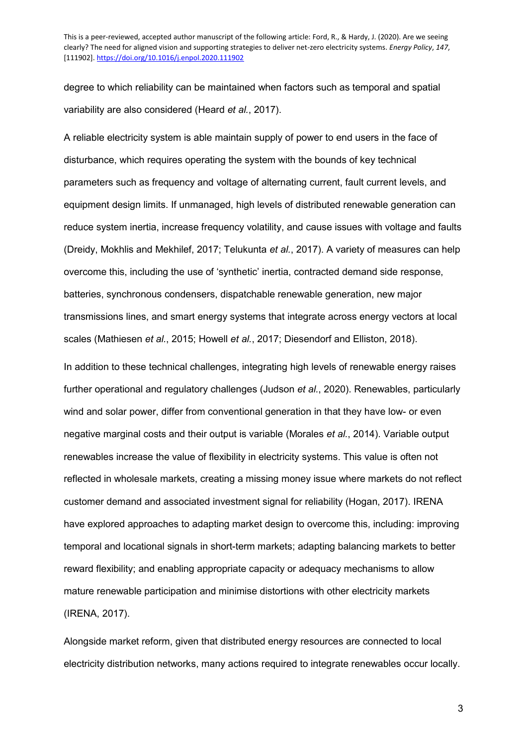degree to which reliability can be maintained when factors such as temporal and spatial variability are also considered (Heard *et al.*, 2017).

A reliable electricity system is able maintain supply of power to end users in the face of disturbance, which requires operating the system with the bounds of key technical parameters such as frequency and voltage of alternating current, fault current levels, and equipment design limits. If unmanaged, high levels of distributed renewable generation can reduce system inertia, increase frequency volatility, and cause issues with voltage and faults (Dreidy, Mokhlis and Mekhilef, 2017; Telukunta *et al.*, 2017). A variety of measures can help overcome this, including the use of 'synthetic' inertia, contracted demand side response, batteries, synchronous condensers, dispatchable renewable generation, new major transmissions lines, and smart energy systems that integrate across energy vectors at local scales (Mathiesen *et al.*, 2015; Howell *et al.*, 2017; Diesendorf and Elliston, 2018).

In addition to these technical challenges, integrating high levels of renewable energy raises further operational and regulatory challenges (Judson *et al.*, 2020). Renewables, particularly wind and solar power, differ from conventional generation in that they have low- or even negative marginal costs and their output is variable (Morales *et al.*, 2014). Variable output renewables increase the value of flexibility in electricity systems. This value is often not reflected in wholesale markets, creating a missing money issue where markets do not reflect customer demand and associated investment signal for reliability (Hogan, 2017). IRENA have explored approaches to adapting market design to overcome this, including: improving temporal and locational signals in short-term markets; adapting balancing markets to better reward flexibility; and enabling appropriate capacity or adequacy mechanisms to allow mature renewable participation and minimise distortions with other electricity markets (IRENA, 2017).

Alongside market reform, given that distributed energy resources are connected to local electricity distribution networks, many actions required to integrate renewables occur locally.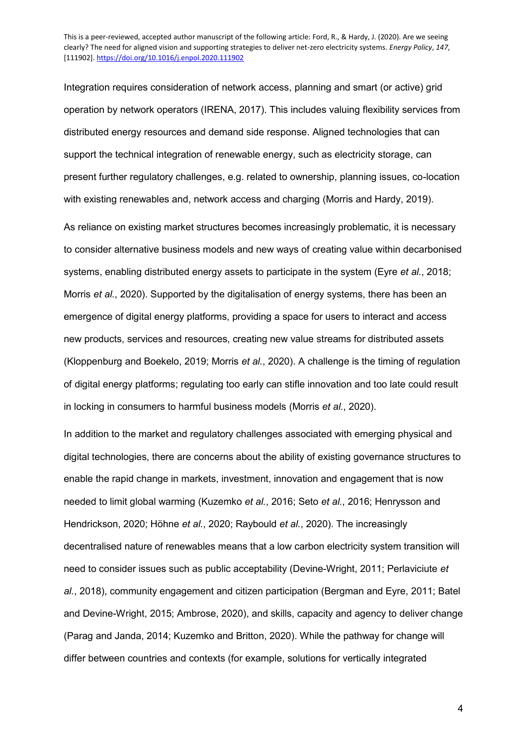Integration requires consideration of network access, planning and smart (or active) grid operation by network operators (IRENA, 2017). This includes valuing flexibility services from distributed energy resources and demand side response. Aligned technologies that can support the technical integration of renewable energy, such as electricity storage, can present further regulatory challenges, e.g. related to ownership, planning issues, co-location with existing renewables and, network access and charging (Morris and Hardy, 2019).

As reliance on existing market structures becomes increasingly problematic, it is necessary to consider alternative business models and new ways of creating value within decarbonised systems, enabling distributed energy assets to participate in the system (Eyre *et al.*, 2018; Morris *et al.*, 2020). Supported by the digitalisation of energy systems, there has been an emergence of digital energy platforms, providing a space for users to interact and access new products, services and resources, creating new value streams for distributed assets (Kloppenburg and Boekelo, 2019; Morris *et al.*, 2020). A challenge is the timing of regulation of digital energy platforms; regulating too early can stifle innovation and too late could result in locking in consumers to harmful business models (Morris *et al.*, 2020).

In addition to the market and regulatory challenges associated with emerging physical and digital technologies, there are concerns about the ability of existing governance structures to enable the rapid change in markets, investment, innovation and engagement that is now needed to limit global warming (Kuzemko *et al.*, 2016; Seto *et al.*, 2016; Henrysson and Hendrickson, 2020; Höhne *et al.*, 2020; Raybould *et al.*, 2020). The increasingly decentralised nature of renewables means that a low carbon electricity system transition will need to consider issues such as public acceptability (Devine-Wright, 2011; Perlaviciute *et al.*, 2018), community engagement and citizen participation (Bergman and Eyre, 2011; Batel and Devine-Wright, 2015; Ambrose, 2020), and skills, capacity and agency to deliver change (Parag and Janda, 2014; Kuzemko and Britton, 2020). While the pathway for change will differ between countries and contexts (for example, solutions for vertically integrated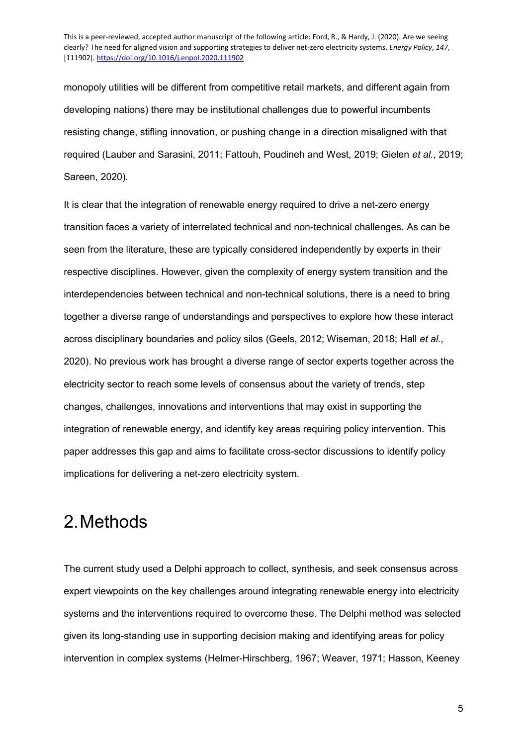monopoly utilities will be different from competitive retail markets, and different again from developing nations) there may be institutional challenges due to powerful incumbents resisting change, stifling innovation, or pushing change in a direction misaligned with that required (Lauber and Sarasini, 2011; Fattouh, Poudineh and West, 2019; Gielen *et al.*, 2019; Sareen, 2020).

It is clear that the integration of renewable energy required to drive a net-zero energy transition faces a variety of interrelated technical and non-technical challenges. As can be seen from the literature, these are typically considered independently by experts in their respective disciplines. However, given the complexity of energy system transition and the interdependencies between technical and non-technical solutions, there is a need to bring together a diverse range of understandings and perspectives to explore how these interact across disciplinary boundaries and policy silos (Geels, 2012; Wiseman, 2018; Hall *et al.*, 2020). No previous work has brought a diverse range of sector experts together across the electricity sector to reach some levels of consensus about the variety of trends, step changes, challenges, innovations and interventions that may exist in supporting the integration of renewable energy, and identify key areas requiring policy intervention. This paper addresses this gap and aims to facilitate cross-sector discussions to identify policy implications for delivering a net-zero electricity system.

## 2.Methods

The current study used a Delphi approach to collect, synthesis, and seek consensus across expert viewpoints on the key challenges around integrating renewable energy into electricity systems and the interventions required to overcome these. The Delphi method was selected given its long-standing use in supporting decision making and identifying areas for policy intervention in complex systems (Helmer-Hirschberg, 1967; Weaver, 1971; Hasson, Keeney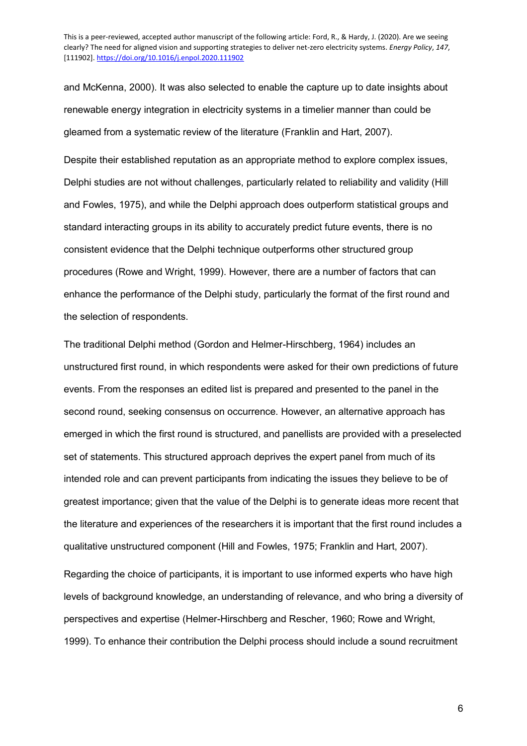and McKenna, 2000). It was also selected to enable the capture up to date insights about renewable energy integration in electricity systems in a timelier manner than could be gleamed from a systematic review of the literature (Franklin and Hart, 2007).

Despite their established reputation as an appropriate method to explore complex issues, Delphi studies are not without challenges, particularly related to reliability and validity (Hill and Fowles, 1975), and while the Delphi approach does outperform statistical groups and standard interacting groups in its ability to accurately predict future events, there is no consistent evidence that the Delphi technique outperforms other structured group procedures (Rowe and Wright, 1999). However, there are a number of factors that can enhance the performance of the Delphi study, particularly the format of the first round and the selection of respondents.

The traditional Delphi method (Gordon and Helmer-Hirschberg, 1964) includes an unstructured first round, in which respondents were asked for their own predictions of future events. From the responses an edited list is prepared and presented to the panel in the second round, seeking consensus on occurrence. However, an alternative approach has emerged in which the first round is structured, and panellists are provided with a preselected set of statements. This structured approach deprives the expert panel from much of its intended role and can prevent participants from indicating the issues they believe to be of greatest importance; given that the value of the Delphi is to generate ideas more recent that the literature and experiences of the researchers it is important that the first round includes a qualitative unstructured component (Hill and Fowles, 1975; Franklin and Hart, 2007).

Regarding the choice of participants, it is important to use informed experts who have high levels of background knowledge, an understanding of relevance, and who bring a diversity of perspectives and expertise (Helmer-Hirschberg and Rescher, 1960; Rowe and Wright, 1999). To enhance their contribution the Delphi process should include a sound recruitment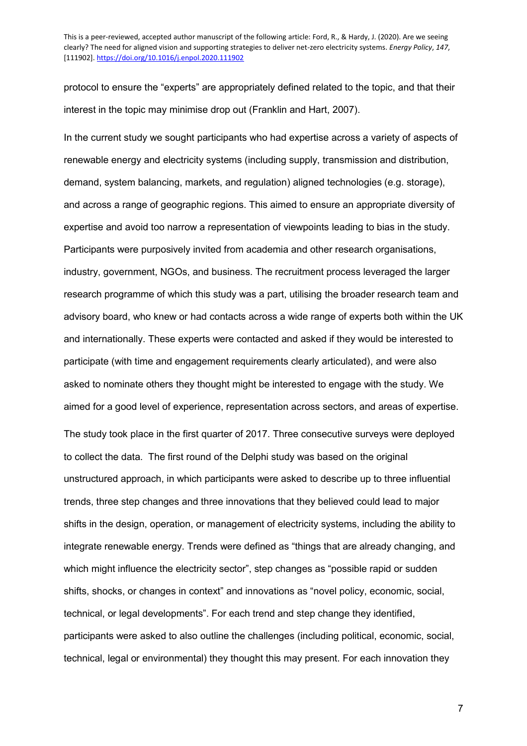protocol to ensure the "experts" are appropriately defined related to the topic, and that their interest in the topic may minimise drop out (Franklin and Hart, 2007).

In the current study we sought participants who had expertise across a variety of aspects of renewable energy and electricity systems (including supply, transmission and distribution, demand, system balancing, markets, and regulation) aligned technologies (e.g. storage), and across a range of geographic regions. This aimed to ensure an appropriate diversity of expertise and avoid too narrow a representation of viewpoints leading to bias in the study. Participants were purposively invited from academia and other research organisations, industry, government, NGOs, and business. The recruitment process leveraged the larger research programme of which this study was a part, utilising the broader research team and advisory board, who knew or had contacts across a wide range of experts both within the UK and internationally. These experts were contacted and asked if they would be interested to participate (with time and engagement requirements clearly articulated), and were also asked to nominate others they thought might be interested to engage with the study. We aimed for a good level of experience, representation across sectors, and areas of expertise. The study took place in the first quarter of 2017. Three consecutive surveys were deployed to collect the data. The first round of the Delphi study was based on the original unstructured approach, in which participants were asked to describe up to three influential trends, three step changes and three innovations that they believed could lead to major shifts in the design, operation, or management of electricity systems, including the ability to integrate renewable energy. Trends were defined as "things that are already changing, and which might influence the electricity sector", step changes as "possible rapid or sudden shifts, shocks, or changes in context" and innovations as "novel policy, economic, social, technical, or legal developments". For each trend and step change they identified, participants were asked to also outline the challenges (including political, economic, social, technical, legal or environmental) they thought this may present. For each innovation they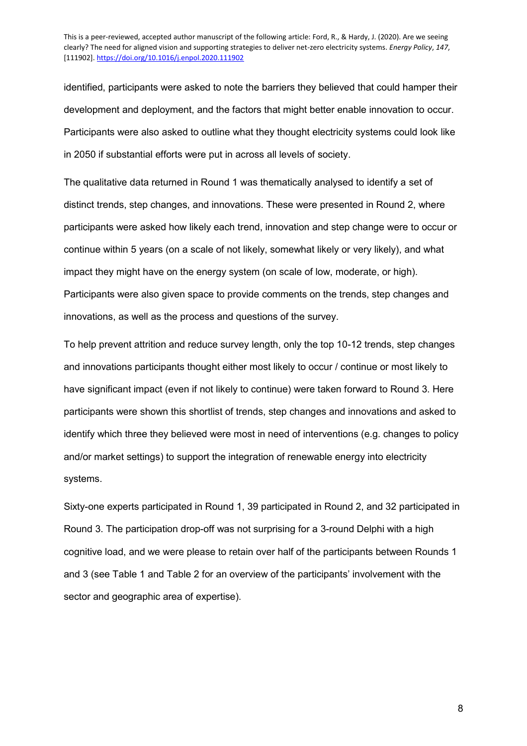identified, participants were asked to note the barriers they believed that could hamper their development and deployment, and the factors that might better enable innovation to occur. Participants were also asked to outline what they thought electricity systems could look like in 2050 if substantial efforts were put in across all levels of society.

The qualitative data returned in Round 1 was thematically analysed to identify a set of distinct trends, step changes, and innovations. These were presented in Round 2, where participants were asked how likely each trend, innovation and step change were to occur or continue within 5 years (on a scale of not likely, somewhat likely or very likely), and what impact they might have on the energy system (on scale of low, moderate, or high). Participants were also given space to provide comments on the trends, step changes and innovations, as well as the process and questions of the survey.

To help prevent attrition and reduce survey length, only the top 10-12 trends, step changes and innovations participants thought either most likely to occur / continue or most likely to have significant impact (even if not likely to continue) were taken forward to Round 3. Here participants were shown this shortlist of trends, step changes and innovations and asked to identify which three they believed were most in need of interventions (e.g. changes to policy and/or market settings) to support the integration of renewable energy into electricity systems.

Sixty-one experts participated in Round 1, 39 participated in Round 2, and 32 participated in Round 3. The participation drop-off was not surprising for a 3-round Delphi with a high cognitive load, and we were please to retain over half of the participants between Rounds 1 and 3 (see Table 1 and Table 2 for an overview of the participants' involvement with the sector and geographic area of expertise).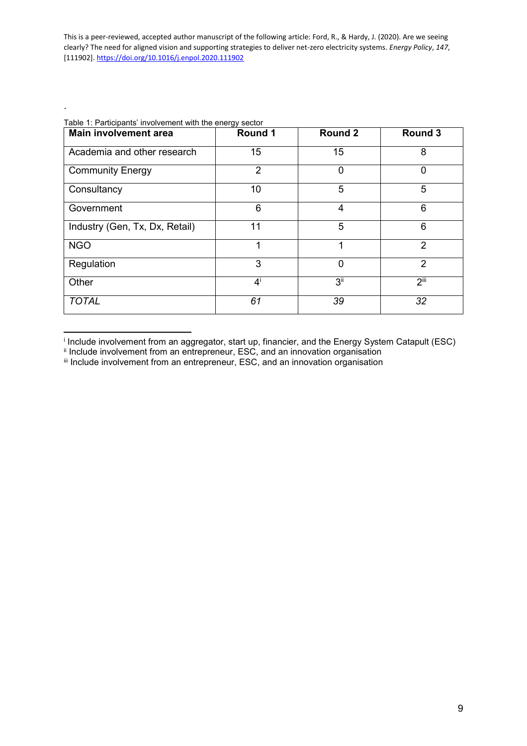| <b>Main involvement area</b>   | Round 1        | <b>Round 2</b>  | Round 3        |
|--------------------------------|----------------|-----------------|----------------|
| Academia and other research    | 15             | 15              | 8              |
| <b>Community Energy</b>        | $\overline{2}$ | 0               | $\Omega$       |
| Consultancy                    | 10             | 5               | 5              |
| Government                     | 6              | $\overline{4}$  | 6              |
| Industry (Gen, Tx, Dx, Retail) | 11             | 5               | 6              |
| <b>NGO</b>                     | 1              | 1               | 2              |
| Regulation                     | 3              | $\mathbf 0$     | $\overline{2}$ |
| Other                          | $4^{i}$        | 3 <sup>ii</sup> | $2^{iii}$      |
| <b>TOTAL</b>                   | 61             | 39              | 32             |

#### Table 1: Participants' involvement with the energy sector

.

i Include involvement from an aggregator, start up, financier, and the Energy System Catapult (ESC)  $\ddot{\phantom{a}}$ 

ii Include involvement from an entrepreneur, ESC, and an innovation organisation

iii Include involvement from an entrepreneur, ESC, and an innovation organisation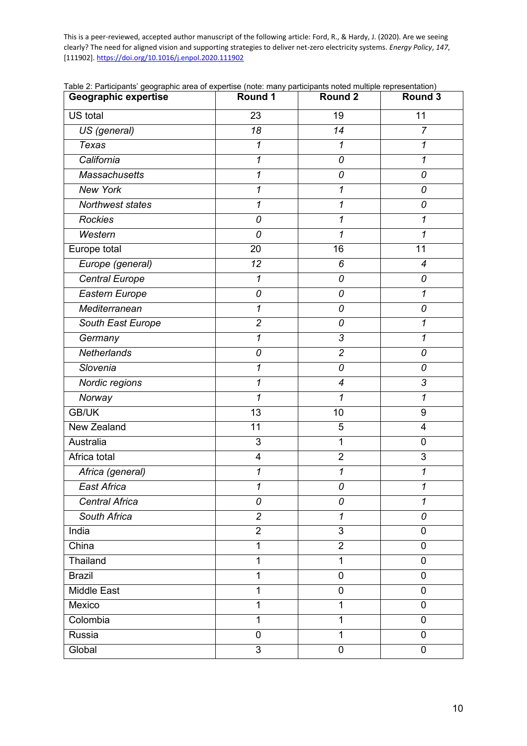| Geographic expertise  | <b>Round 1</b>             | <b>Round 2</b>           | Round 3                  |
|-----------------------|----------------------------|--------------------------|--------------------------|
| US total              | 23                         | 19                       | 11                       |
| US (general)          | 18                         | 14                       | $\overline{7}$           |
| <b>Texas</b>          | 1                          | 1                        | 1                        |
| California            | 1                          | 0                        | $\mathcal{I}$            |
| <b>Massachusetts</b>  | 1                          | 0                        | 0                        |
| <b>New York</b>       | $\boldsymbol{\mathcal{I}}$ | $\mathbf{1}$             | 0                        |
| Northwest states      | 1                          | 1                        | 0                        |
| <b>Rockies</b>        | 0                          | 1                        | 1                        |
| Western               | 0                          | 1                        | 1                        |
| Europe total          | 20                         | 16                       | 11                       |
| Europe (general)      | 12                         | 6                        | $\overline{\mathcal{A}}$ |
| <b>Central Europe</b> | 1                          | 0                        | 0                        |
| Eastern Europe        | 0                          | 0                        | 1                        |
| Mediterranean         | $\boldsymbol{\mathcal{I}}$ | 0                        | 0                        |
| South East Europe     | $\overline{c}$             | 0                        | 1                        |
| Germany               | $\mathbf{1}$               | $\overline{3}$           | 1                        |
| Netherlands           | 0                          | $\overline{c}$           | 0                        |
| Slovenia              | 1                          | 0                        | 0                        |
| Nordic regions        | $\mathcal I$               | $\overline{\mathcal{A}}$ | $\mathfrak{Z}$           |
| Norway                | 1                          | 1                        | 1                        |
| <b>GB/UK</b>          | 13                         | 10                       | 9                        |
| New Zealand           | 11                         | 5                        | $\overline{\mathbf{4}}$  |
| Australia             | 3                          | 1                        | 0                        |
| Africa total          | 4                          | $\overline{2}$           | 3                        |
| Africa (general)      | 1                          | 1                        | 1                        |
| <b>East Africa</b>    | $\boldsymbol{\mathcal{I}}$ | 0                        | 1                        |
| <b>Central Africa</b> | 0                          | 0                        | 1                        |
| South Africa          | $\overline{2}$             | $\mathcal I$             | 0                        |
| India                 | $\overline{2}$             | 3                        | 0                        |
| China                 | $\mathbf{1}$               | $\overline{2}$           | $\mathbf 0$              |
| Thailand              | 1                          | 1                        | $\mathbf 0$              |
| <b>Brazil</b>         | 1                          | $\overline{0}$           | $\mathbf 0$              |
| <b>Middle East</b>    | 1                          | $\mathbf 0$              | $\mathbf 0$              |
| Mexico                | 1                          | 1                        | $\mathbf 0$              |
| Colombia              | $\mathbf{1}$               | 1                        | $\mathbf 0$              |
| Russia                | 0                          | 1                        | $\overline{0}$           |
| Global                | 3                          | $\pmb{0}$                | $\mathbf 0$              |

Table 2: Participants' geographic area of expertise (note: many participants noted multiple representation)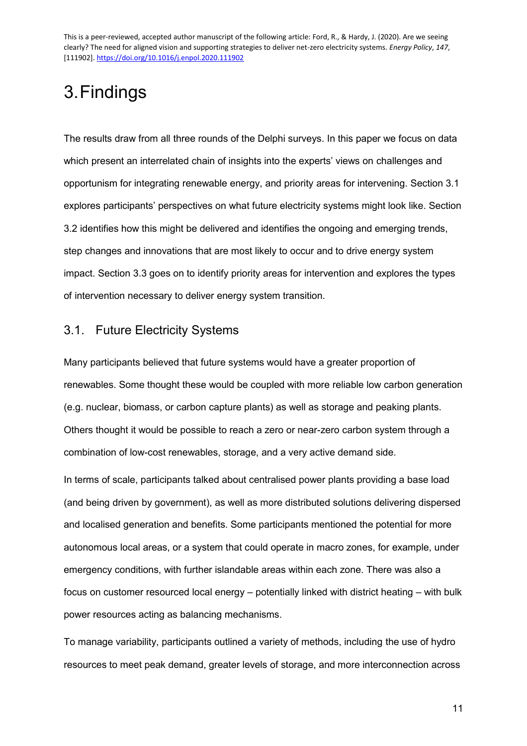# 3.Findings

The results draw from all three rounds of the Delphi surveys. In this paper we focus on data which present an interrelated chain of insights into the experts' views on challenges and opportunism for integrating renewable energy, and priority areas for intervening. Section [3.1](#page-10-0) explores participants' perspectives on what future electricity systems might look like. Section [3.2](#page-12-0) identifies how this might be delivered and identifies the ongoing and emerging trends, step changes and innovations that are most likely to occur and to drive energy system impact. Section [3.3](#page-19-0) goes on to identify priority areas for intervention and explores the types of intervention necessary to deliver energy system transition.

### <span id="page-10-0"></span>3.1. Future Electricity Systems

Many participants believed that future systems would have a greater proportion of renewables. Some thought these would be coupled with more reliable low carbon generation (e.g. nuclear, biomass, or carbon capture plants) as well as storage and peaking plants. Others thought it would be possible to reach a zero or near-zero carbon system through a combination of low-cost renewables, storage, and a very active demand side.

In terms of scale, participants talked about centralised power plants providing a base load (and being driven by government), as well as more distributed solutions delivering dispersed and localised generation and benefits. Some participants mentioned the potential for more autonomous local areas, or a system that could operate in macro zones, for example, under emergency conditions, with further islandable areas within each zone. There was also a focus on customer resourced local energy – potentially linked with district heating – with bulk power resources acting as balancing mechanisms.

To manage variability, participants outlined a variety of methods, including the use of hydro resources to meet peak demand, greater levels of storage, and more interconnection across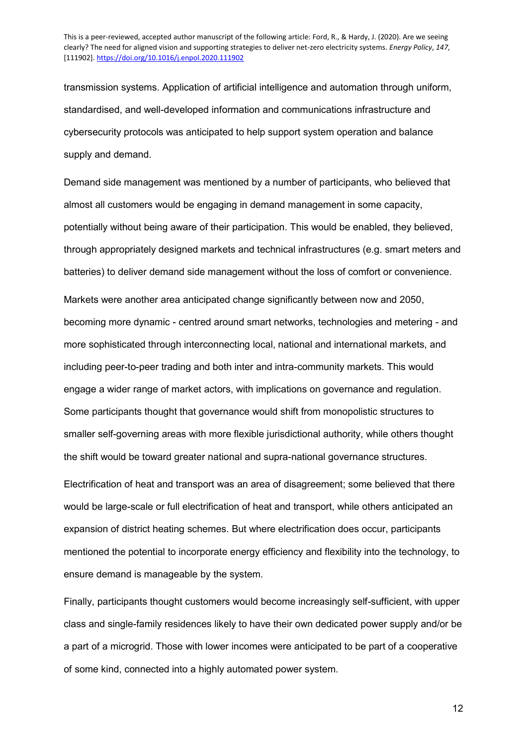transmission systems. Application of artificial intelligence and automation through uniform, standardised, and well-developed information and communications infrastructure and cybersecurity protocols was anticipated to help support system operation and balance supply and demand.

Demand side management was mentioned by a number of participants, who believed that almost all customers would be engaging in demand management in some capacity, potentially without being aware of their participation. This would be enabled, they believed, through appropriately designed markets and technical infrastructures (e.g. smart meters and batteries) to deliver demand side management without the loss of comfort or convenience.

Markets were another area anticipated change significantly between now and 2050, becoming more dynamic - centred around smart networks, technologies and metering - and more sophisticated through interconnecting local, national and international markets, and including peer-to-peer trading and both inter and intra-community markets. This would engage a wider range of market actors, with implications on governance and regulation. Some participants thought that governance would shift from monopolistic structures to smaller self-governing areas with more flexible jurisdictional authority, while others thought the shift would be toward greater national and supra-national governance structures.

Electrification of heat and transport was an area of disagreement; some believed that there would be large-scale or full electrification of heat and transport, while others anticipated an expansion of district heating schemes. But where electrification does occur, participants mentioned the potential to incorporate energy efficiency and flexibility into the technology, to ensure demand is manageable by the system.

Finally, participants thought customers would become increasingly self-sufficient, with upper class and single-family residences likely to have their own dedicated power supply and/or be a part of a microgrid. Those with lower incomes were anticipated to be part of a cooperative of some kind, connected into a highly automated power system.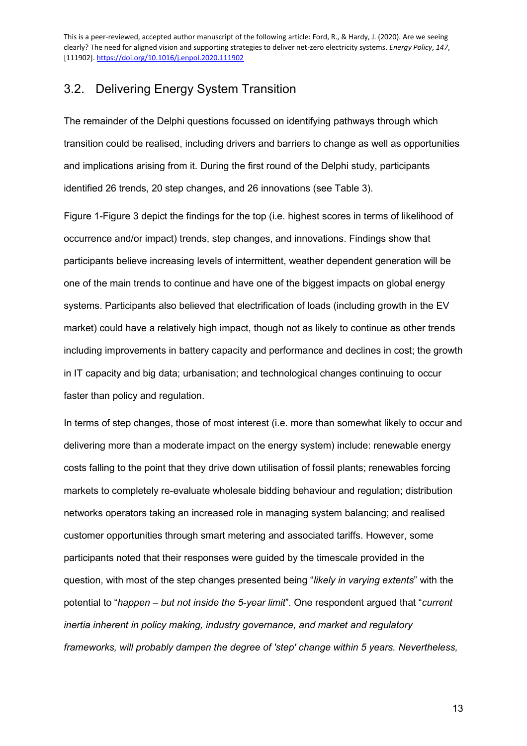### <span id="page-12-0"></span>3.2. Delivering Energy System Transition

The remainder of the Delphi questions focussed on identifying pathways through which transition could be realised, including drivers and barriers to change as well as opportunities and implications arising from it. During the first round of the Delphi study, participants identified 26 trends, 20 step changes, and 26 innovations (see [Table 3\)](#page-14-0).

[Figure 1-](#page-17-0)[Figure 3](#page-18-0) depict the findings for the top (i.e. highest scores in terms of likelihood of occurrence and/or impact) trends, step changes, and innovations. Findings show that participants believe increasing levels of intermittent, weather dependent generation will be one of the main trends to continue and have one of the biggest impacts on global energy systems. Participants also believed that electrification of loads (including growth in the EV market) could have a relatively high impact, though not as likely to continue as other trends including improvements in battery capacity and performance and declines in cost; the growth in IT capacity and big data; urbanisation; and technological changes continuing to occur faster than policy and regulation.

In terms of step changes, those of most interest (i.e. more than somewhat likely to occur and delivering more than a moderate impact on the energy system) include: renewable energy costs falling to the point that they drive down utilisation of fossil plants; renewables forcing markets to completely re-evaluate wholesale bidding behaviour and regulation; distribution networks operators taking an increased role in managing system balancing; and realised customer opportunities through smart metering and associated tariffs. However, some participants noted that their responses were guided by the timescale provided in the question, with most of the step changes presented being "*likely in varying extents*" with the potential to "*happen – but not inside the 5-year limit*". One respondent argued that "*current inertia inherent in policy making, industry governance, and market and regulatory frameworks, will probably dampen the degree of 'step' change within 5 years. Nevertheless,*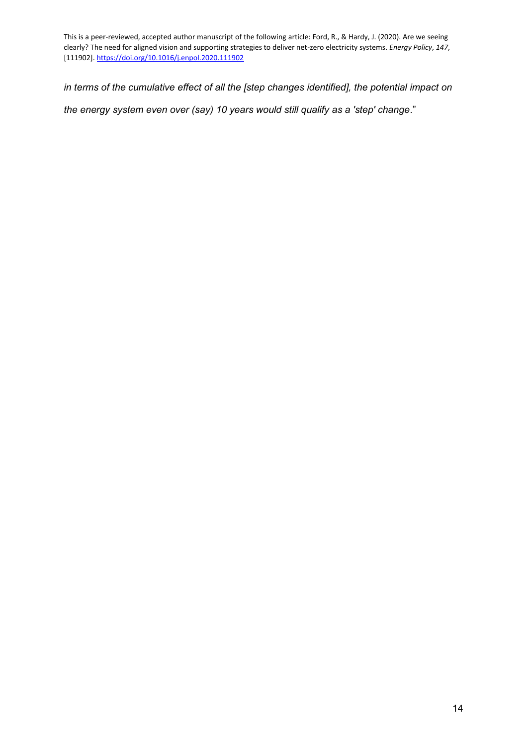*in terms of the cumulative effect of all the [step changes identified], the potential impact on* 

*the energy system even over (say) 10 years would still qualify as a 'step' change*."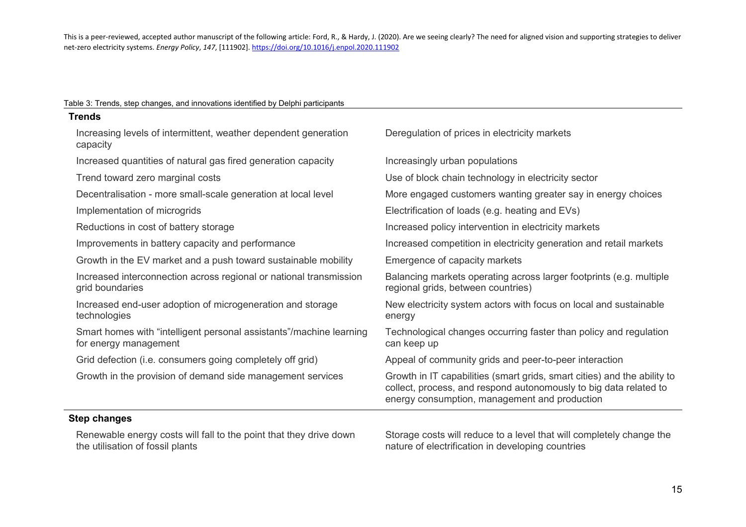#### Table 3: Trends, step changes, and innovations identified by Delphi participants

| <b>Trends</b>                                                                                |                                                                                                                                                                                                |
|----------------------------------------------------------------------------------------------|------------------------------------------------------------------------------------------------------------------------------------------------------------------------------------------------|
| Increasing levels of intermittent, weather dependent generation<br>capacity                  | Deregulation of prices in electricity markets                                                                                                                                                  |
| Increased quantities of natural gas fired generation capacity                                | Increasingly urban populations                                                                                                                                                                 |
| Trend toward zero marginal costs                                                             | Use of block chain technology in electricity sector                                                                                                                                            |
| Decentralisation - more small-scale generation at local level                                | More engaged customers wanting greater say in energy choices                                                                                                                                   |
| Implementation of microgrids                                                                 | Electrification of loads (e.g. heating and EVs)                                                                                                                                                |
| Reductions in cost of battery storage                                                        | Increased policy intervention in electricity markets                                                                                                                                           |
| Improvements in battery capacity and performance                                             | Increased competition in electricity generation and retail markets                                                                                                                             |
| Growth in the EV market and a push toward sustainable mobility                               | Emergence of capacity markets                                                                                                                                                                  |
| Increased interconnection across regional or national transmission<br>grid boundaries        | Balancing markets operating across larger footprints (e.g. multiple<br>regional grids, between countries)                                                                                      |
| Increased end-user adoption of microgeneration and storage<br>technologies                   | New electricity system actors with focus on local and sustainable<br>energy                                                                                                                    |
| Smart homes with "intelligent personal assistants"/machine learning<br>for energy management | Technological changes occurring faster than policy and regulation<br>can keep up                                                                                                               |
| Grid defection (i.e. consumers going completely off grid)                                    | Appeal of community grids and peer-to-peer interaction                                                                                                                                         |
| Growth in the provision of demand side management services                                   | Growth in IT capabilities (smart grids, smart cities) and the ability to<br>collect, process, and respond autonomously to big data related to<br>energy consumption, management and production |

<span id="page-14-0"></span>Renewable energy costs will fall to the point that they drive down the utilisation of fossil plants

Storage costs will reduce to a level that will completely change the nature of electrification in developing countries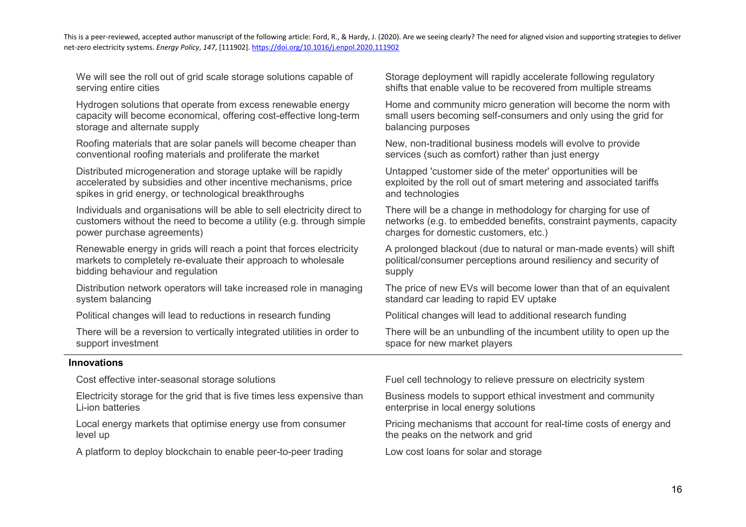We will see the roll out of grid scale storage solutions capable of serving entire cities

Hydrogen solutions that operate from excess renewable energy capacity will become economical, offering cost-effective long-term storage and alternate supply

Roofing materials that are solar panels will become cheaper than conventional roofing materials and proliferate the market

Distributed microgeneration and storage uptake will be rapidly accelerated by subsidies and other incentive mechanisms, price spikes in grid energy, or technological breakthroughs

Individuals and organisations will be able to sell electricity direct to customers without the need to become a utility (e.g. through simple power purchase agreements)

Renewable energy in grids will reach a point that forces electricity markets to completely re-evaluate their approach to wholesale bidding behaviour and regulation

Distribution network operators will take increased role in managing system balancing

Political changes will lead to reductions in research funding Political changes will lead to additional research funding

There will be a reversion to vertically integrated utilities in order to support investment

#### **Innovations**

Electricity storage for the grid that is five times less expensive than Li-ion batteries

Local energy markets that optimise energy use from consumer level up

A platform to deploy blockchain to enable peer-to-peer trading Low cost loans for solar and storage

Storage deployment will rapidly accelerate following regulatory shifts that enable value to be recovered from multiple streams

Home and community micro generation will become the norm with small users becoming self-consumers and only using the grid for balancing purposes

New, non-traditional business models will evolve to provide services (such as comfort) rather than just energy

Untapped 'customer side of the meter' opportunities will be exploited by the roll out of smart metering and associated tariffs and technologies

There will be a change in methodology for charging for use of networks (e.g. to embedded benefits, constraint payments, capacity charges for domestic customers, etc.)

A prolonged blackout (due to natural or man-made events) will shift political/consumer perceptions around resiliency and security of supply

The price of new EVs will become lower than that of an equivalent standard car leading to rapid EV uptake

There will be an unbundling of the incumbent utility to open up the space for new market players

Cost effective inter-seasonal storage solutions Fuel Fuel cell technology to relieve pressure on electricity system

Business models to support ethical investment and community enterprise in local energy solutions

Pricing mechanisms that account for real-time costs of energy and the peaks on the network and grid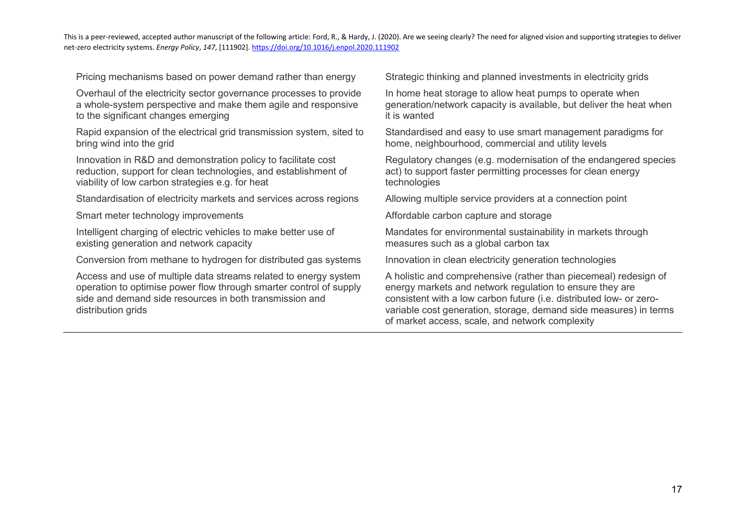Pricing mechanisms based on power demand rather than energy Strategic thinking and planned investments in electricity grids

Overhaul of the electricity sector governance processes to provide a whole-system perspective and make them agile and responsive to the significant changes emerging

Rapid expansion of the electrical grid transmission system, sited to bring wind into the grid

Innovation in R&D and demonstration policy to facilitate cost reduction, support for clean technologies, and establishment of viability of low carbon strategies e.g. for heat

Standardisation of electricity markets and services across regions Allowing multiple service providers at a connection point

Smart meter technology improvements Affordable carbon capture and storage

Intelligent charging of electric vehicles to make better use of existing generation and network capacity

Conversion from methane to hydrogen for distributed gas systems Innovation in clean electricity generation technologies

Access and use of multiple data streams related to energy system operation to optimise power flow through smarter control of supply side and demand side resources in both transmission and distribution grids

In home heat storage to allow heat pumps to operate when generation/network capacity is available, but deliver the heat when it is wanted

Standardised and easy to use smart management paradigms for home, neighbourhood, commercial and utility levels

Regulatory changes (e.g. modernisation of the endangered species act) to support faster permitting processes for clean energy technologies

Mandates for environmental sustainability in markets through measures such as a global carbon tax

A holistic and comprehensive (rather than piecemeal) redesign of energy markets and network regulation to ensure they are consistent with a low carbon future (i.e. distributed low- or zerovariable cost generation, storage, demand side measures) in terms of market access, scale, and network complexity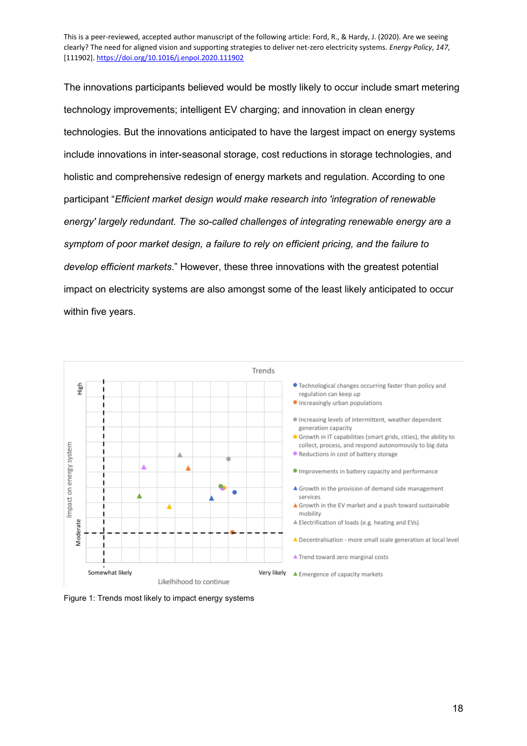The innovations participants believed would be mostly likely to occur include smart metering technology improvements; intelligent EV charging; and innovation in clean energy technologies. But the innovations anticipated to have the largest impact on energy systems include innovations in inter-seasonal storage, cost reductions in storage technologies, and holistic and comprehensive redesign of energy markets and regulation. According to one participant "*Efficient market design would make research into 'integration of renewable energy' largely redundant. The so-called challenges of integrating renewable energy are a symptom of poor market design, a failure to rely on efficient pricing, and the failure to develop efficient markets*." However, these three innovations with the greatest potential impact on electricity systems are also amongst some of the least likely anticipated to occur within five years.



<span id="page-17-0"></span>Figure 1: Trends most likely to impact energy systems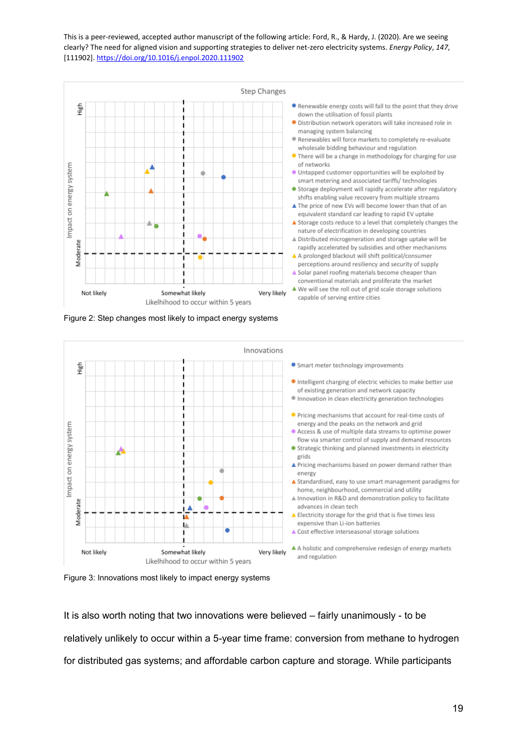

Figure 2: Step changes most likely to impact energy systems



<span id="page-18-0"></span>Figure 3: Innovations most likely to impact energy systems

It is also worth noting that two innovations were believed – fairly unanimously - to be relatively unlikely to occur within a 5-year time frame: conversion from methane to hydrogen for distributed gas systems; and affordable carbon capture and storage. While participants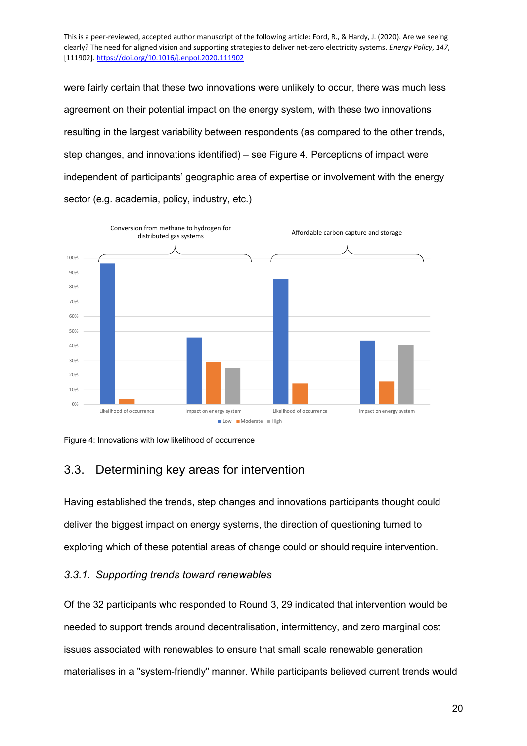were fairly certain that these two innovations were unlikely to occur, there was much less agreement on their potential impact on the energy system, with these two innovations resulting in the largest variability between respondents (as compared to the other trends, step changes, and innovations identified) – see [Figure 4.](#page-19-1) Perceptions of impact were independent of participants' geographic area of expertise or involvement with the energy sector (e.g. academia, policy, industry, etc.)



<span id="page-19-1"></span>Figure 4: Innovations with low likelihood of occurrence

### <span id="page-19-0"></span>3.3. Determining key areas for intervention

Having established the trends, step changes and innovations participants thought could deliver the biggest impact on energy systems, the direction of questioning turned to exploring which of these potential areas of change could or should require intervention.

#### *3.3.1. Supporting trends toward renewables*

Of the 32 participants who responded to Round 3, 29 indicated that intervention would be needed to support trends around decentralisation, intermittency, and zero marginal cost issues associated with renewables to ensure that small scale renewable generation materialises in a "system-friendly" manner. While participants believed current trends would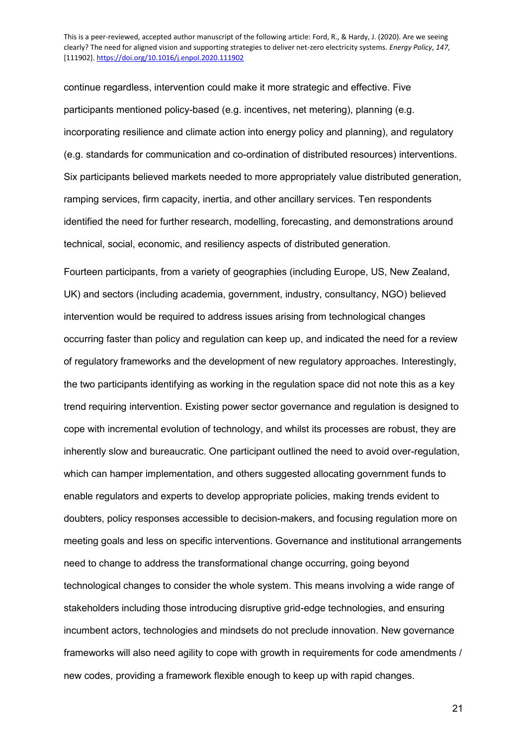continue regardless, intervention could make it more strategic and effective. Five participants mentioned policy-based (e.g. incentives, net metering), planning (e.g. incorporating resilience and climate action into energy policy and planning), and regulatory (e.g. standards for communication and co-ordination of distributed resources) interventions. Six participants believed markets needed to more appropriately value distributed generation, ramping services, firm capacity, inertia, and other ancillary services. Ten respondents identified the need for further research, modelling, forecasting, and demonstrations around technical, social, economic, and resiliency aspects of distributed generation.

Fourteen participants, from a variety of geographies (including Europe, US, New Zealand, UK) and sectors (including academia, government, industry, consultancy, NGO) believed intervention would be required to address issues arising from technological changes occurring faster than policy and regulation can keep up, and indicated the need for a review of regulatory frameworks and the development of new regulatory approaches. Interestingly, the two participants identifying as working in the regulation space did not note this as a key trend requiring intervention. Existing power sector governance and regulation is designed to cope with incremental evolution of technology, and whilst its processes are robust, they are inherently slow and bureaucratic. One participant outlined the need to avoid over-regulation, which can hamper implementation, and others suggested allocating government funds to enable regulators and experts to develop appropriate policies, making trends evident to doubters, policy responses accessible to decision-makers, and focusing regulation more on meeting goals and less on specific interventions. Governance and institutional arrangements need to change to address the transformational change occurring, going beyond technological changes to consider the whole system. This means involving a wide range of stakeholders including those introducing disruptive grid-edge technologies, and ensuring incumbent actors, technologies and mindsets do not preclude innovation. New governance frameworks will also need agility to cope with growth in requirements for code amendments / new codes, providing a framework flexible enough to keep up with rapid changes.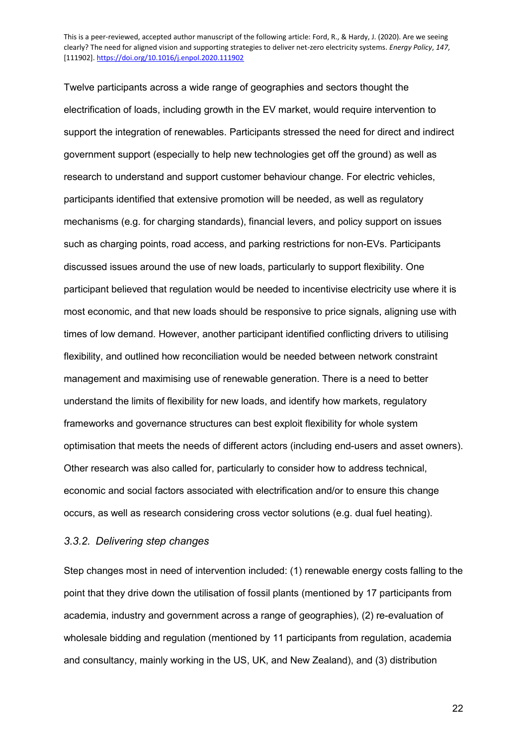Twelve participants across a wide range of geographies and sectors thought the electrification of loads, including growth in the EV market, would require intervention to support the integration of renewables. Participants stressed the need for direct and indirect government support (especially to help new technologies get off the ground) as well as research to understand and support customer behaviour change. For electric vehicles, participants identified that extensive promotion will be needed, as well as regulatory mechanisms (e.g. for charging standards), financial levers, and policy support on issues such as charging points, road access, and parking restrictions for non-EVs. Participants discussed issues around the use of new loads, particularly to support flexibility. One participant believed that regulation would be needed to incentivise electricity use where it is most economic, and that new loads should be responsive to price signals, aligning use with times of low demand. However, another participant identified conflicting drivers to utilising flexibility, and outlined how reconciliation would be needed between network constraint management and maximising use of renewable generation. There is a need to better understand the limits of flexibility for new loads, and identify how markets, regulatory frameworks and governance structures can best exploit flexibility for whole system optimisation that meets the needs of different actors (including end-users and asset owners). Other research was also called for, particularly to consider how to address technical, economic and social factors associated with electrification and/or to ensure this change occurs, as well as research considering cross vector solutions (e.g. dual fuel heating).

#### *3.3.2. Delivering step changes*

Step changes most in need of intervention included: (1) renewable energy costs falling to the point that they drive down the utilisation of fossil plants (mentioned by 17 participants from academia, industry and government across a range of geographies), (2) re-evaluation of wholesale bidding and regulation (mentioned by 11 participants from regulation, academia and consultancy, mainly working in the US, UK, and New Zealand), and (3) distribution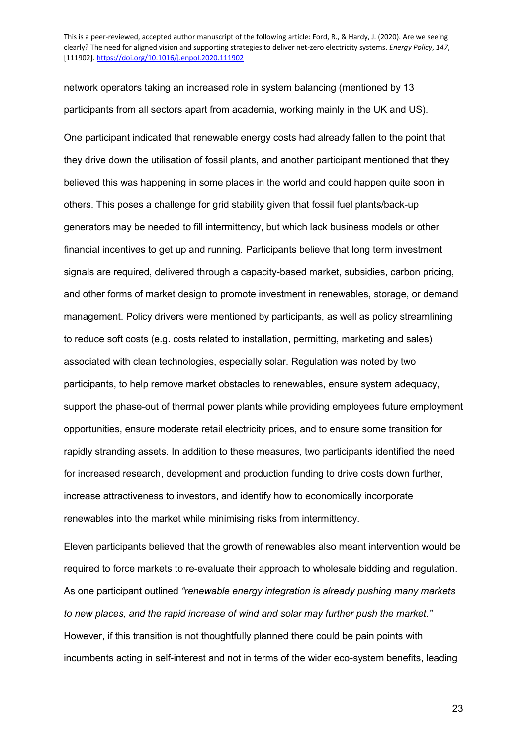network operators taking an increased role in system balancing (mentioned by 13 participants from all sectors apart from academia, working mainly in the UK and US).

One participant indicated that renewable energy costs had already fallen to the point that they drive down the utilisation of fossil plants, and another participant mentioned that they believed this was happening in some places in the world and could happen quite soon in others. This poses a challenge for grid stability given that fossil fuel plants/back-up generators may be needed to fill intermittency, but which lack business models or other financial incentives to get up and running. Participants believe that long term investment signals are required, delivered through a capacity-based market, subsidies, carbon pricing, and other forms of market design to promote investment in renewables, storage, or demand management. Policy drivers were mentioned by participants, as well as policy streamlining to reduce soft costs (e.g. costs related to installation, permitting, marketing and sales) associated with clean technologies, especially solar. Regulation was noted by two participants, to help remove market obstacles to renewables, ensure system adequacy, support the phase-out of thermal power plants while providing employees future employment opportunities, ensure moderate retail electricity prices, and to ensure some transition for rapidly stranding assets. In addition to these measures, two participants identified the need for increased research, development and production funding to drive costs down further, increase attractiveness to investors, and identify how to economically incorporate renewables into the market while minimising risks from intermittency.

Eleven participants believed that the growth of renewables also meant intervention would be required to force markets to re-evaluate their approach to wholesale bidding and regulation. As one participant outlined *"renewable energy integration is already pushing many markets to new places, and the rapid increase of wind and solar may further push the market."* However, if this transition is not thoughtfully planned there could be pain points with incumbents acting in self-interest and not in terms of the wider eco-system benefits, leading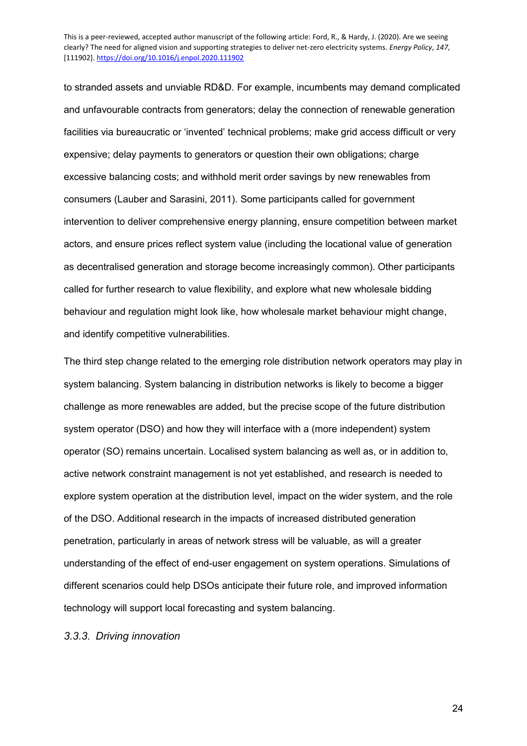to stranded assets and unviable RD&D. For example, incumbents may demand complicated and unfavourable contracts from generators; delay the connection of renewable generation facilities via bureaucratic or 'invented' technical problems; make grid access difficult or very expensive; delay payments to generators or question their own obligations; charge excessive balancing costs; and withhold merit order savings by new renewables from consumers (Lauber and Sarasini, 2011). Some participants called for government intervention to deliver comprehensive energy planning, ensure competition between market actors, and ensure prices reflect system value (including the locational value of generation as decentralised generation and storage become increasingly common). Other participants called for further research to value flexibility, and explore what new wholesale bidding behaviour and regulation might look like, how wholesale market behaviour might change, and identify competitive vulnerabilities.

The third step change related to the emerging role distribution network operators may play in system balancing. System balancing in distribution networks is likely to become a bigger challenge as more renewables are added, but the precise scope of the future distribution system operator (DSO) and how they will interface with a (more independent) system operator (SO) remains uncertain. Localised system balancing as well as, or in addition to, active network constraint management is not yet established, and research is needed to explore system operation at the distribution level, impact on the wider system, and the role of the DSO. Additional research in the impacts of increased distributed generation penetration, particularly in areas of network stress will be valuable, as will a greater understanding of the effect of end-user engagement on system operations. Simulations of different scenarios could help DSOs anticipate their future role, and improved information technology will support local forecasting and system balancing.

*3.3.3. Driving innovation*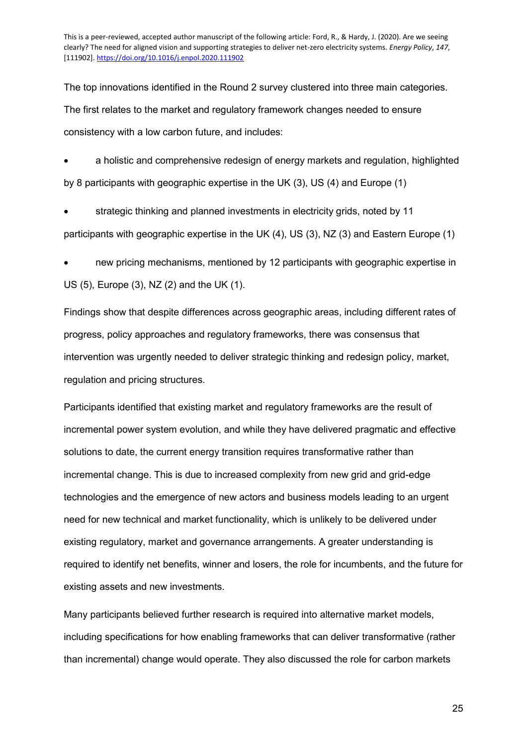The top innovations identified in the Round 2 survey clustered into three main categories. The first relates to the market and regulatory framework changes needed to ensure consistency with a low carbon future, and includes:

 a holistic and comprehensive redesign of energy markets and regulation, highlighted by 8 participants with geographic expertise in the UK (3), US (4) and Europe (1)

 strategic thinking and planned investments in electricity grids, noted by 11 participants with geographic expertise in the UK (4), US (3), NZ (3) and Eastern Europe (1)

 new pricing mechanisms, mentioned by 12 participants with geographic expertise in US (5), Europe (3), NZ (2) and the UK (1).

Findings show that despite differences across geographic areas, including different rates of progress, policy approaches and regulatory frameworks, there was consensus that intervention was urgently needed to deliver strategic thinking and redesign policy, market, regulation and pricing structures.

Participants identified that existing market and regulatory frameworks are the result of incremental power system evolution, and while they have delivered pragmatic and effective solutions to date, the current energy transition requires transformative rather than incremental change. This is due to increased complexity from new grid and grid-edge technologies and the emergence of new actors and business models leading to an urgent need for new technical and market functionality, which is unlikely to be delivered under existing regulatory, market and governance arrangements. A greater understanding is required to identify net benefits, winner and losers, the role for incumbents, and the future for existing assets and new investments.

Many participants believed further research is required into alternative market models, including specifications for how enabling frameworks that can deliver transformative (rather than incremental) change would operate. They also discussed the role for carbon markets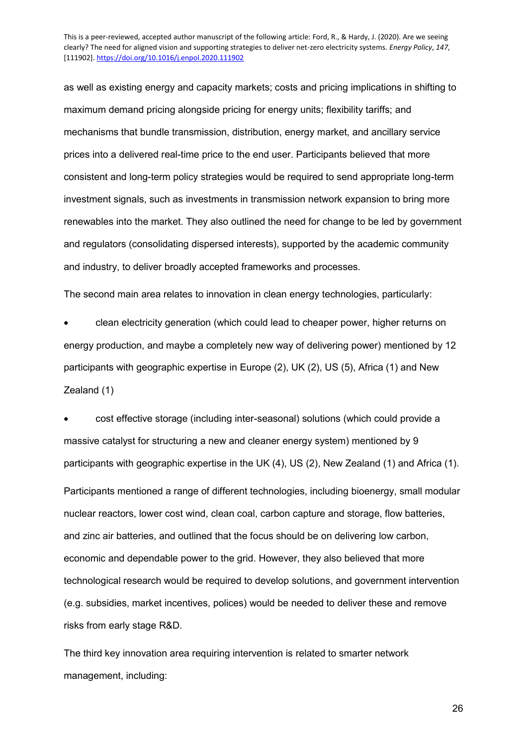as well as existing energy and capacity markets; costs and pricing implications in shifting to maximum demand pricing alongside pricing for energy units; flexibility tariffs; and mechanisms that bundle transmission, distribution, energy market, and ancillary service prices into a delivered real-time price to the end user. Participants believed that more consistent and long-term policy strategies would be required to send appropriate long-term investment signals, such as investments in transmission network expansion to bring more renewables into the market. They also outlined the need for change to be led by government and regulators (consolidating dispersed interests), supported by the academic community and industry, to deliver broadly accepted frameworks and processes.

The second main area relates to innovation in clean energy technologies, particularly:

 clean electricity generation (which could lead to cheaper power, higher returns on energy production, and maybe a completely new way of delivering power) mentioned by 12 participants with geographic expertise in Europe (2), UK (2), US (5), Africa (1) and New Zealand (1)

 cost effective storage (including inter-seasonal) solutions (which could provide a massive catalyst for structuring a new and cleaner energy system) mentioned by 9 participants with geographic expertise in the UK (4), US (2), New Zealand (1) and Africa (1). Participants mentioned a range of different technologies, including bioenergy, small modular nuclear reactors, lower cost wind, clean coal, carbon capture and storage, flow batteries, and zinc air batteries, and outlined that the focus should be on delivering low carbon, economic and dependable power to the grid. However, they also believed that more technological research would be required to develop solutions, and government intervention (e.g. subsidies, market incentives, polices) would be needed to deliver these and remove risks from early stage R&D.

The third key innovation area requiring intervention is related to smarter network management, including: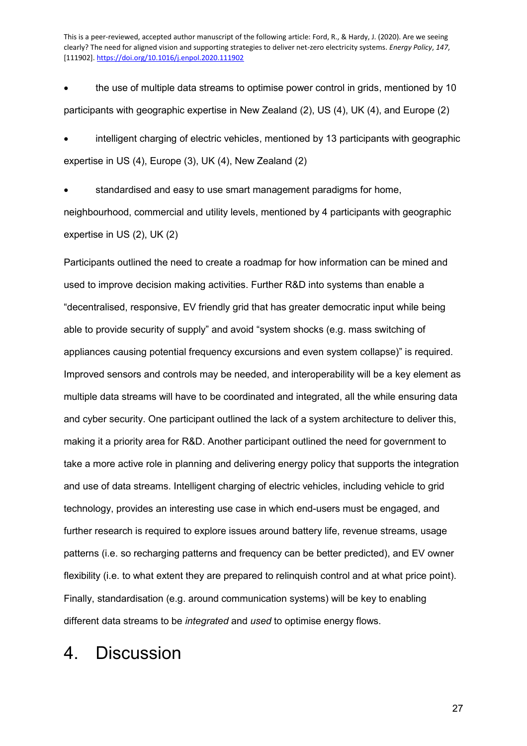• the use of multiple data streams to optimise power control in grids, mentioned by 10 participants with geographic expertise in New Zealand (2), US (4), UK (4), and Europe (2)

 intelligent charging of electric vehicles, mentioned by 13 participants with geographic expertise in US (4), Europe (3), UK (4), New Zealand (2)

 standardised and easy to use smart management paradigms for home, neighbourhood, commercial and utility levels, mentioned by 4 participants with geographic expertise in US (2), UK (2)

Participants outlined the need to create a roadmap for how information can be mined and used to improve decision making activities. Further R&D into systems than enable a "decentralised, responsive, EV friendly grid that has greater democratic input while being able to provide security of supply" and avoid "system shocks (e.g. mass switching of appliances causing potential frequency excursions and even system collapse)" is required. Improved sensors and controls may be needed, and interoperability will be a key element as multiple data streams will have to be coordinated and integrated, all the while ensuring data and cyber security. One participant outlined the lack of a system architecture to deliver this, making it a priority area for R&D. Another participant outlined the need for government to take a more active role in planning and delivering energy policy that supports the integration and use of data streams. Intelligent charging of electric vehicles, including vehicle to grid technology, provides an interesting use case in which end-users must be engaged, and further research is required to explore issues around battery life, revenue streams, usage patterns (i.e. so recharging patterns and frequency can be better predicted), and EV owner flexibility (i.e. to what extent they are prepared to relinquish control and at what price point). Finally, standardisation (e.g. around communication systems) will be key to enabling different data streams to be *integrated* and *used* to optimise energy flows.

### 4. Discussion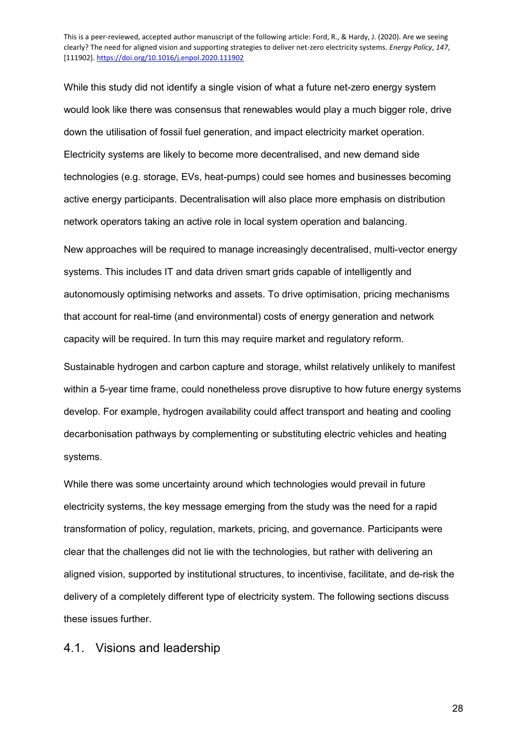While this study did not identify a single vision of what a future net-zero energy system would look like there was consensus that renewables would play a much bigger role, drive down the utilisation of fossil fuel generation, and impact electricity market operation. Electricity systems are likely to become more decentralised, and new demand side technologies (e.g. storage, EVs, heat-pumps) could see homes and businesses becoming active energy participants. Decentralisation will also place more emphasis on distribution network operators taking an active role in local system operation and balancing.

New approaches will be required to manage increasingly decentralised, multi-vector energy systems. This includes IT and data driven smart grids capable of intelligently and autonomously optimising networks and assets. To drive optimisation, pricing mechanisms that account for real-time (and environmental) costs of energy generation and network capacity will be required. In turn this may require market and regulatory reform.

Sustainable hydrogen and carbon capture and storage, whilst relatively unlikely to manifest within a 5-year time frame, could nonetheless prove disruptive to how future energy systems develop. For example, hydrogen availability could affect transport and heating and cooling decarbonisation pathways by complementing or substituting electric vehicles and heating systems.

While there was some uncertainty around which technologies would prevail in future electricity systems, the key message emerging from the study was the need for a rapid transformation of policy, regulation, markets, pricing, and governance. Participants were clear that the challenges did not lie with the technologies, but rather with delivering an aligned vision, supported by institutional structures, to incentivise, facilitate, and de-risk the delivery of a completely different type of electricity system. The following sections discuss these issues further.

4.1. Visions and leadership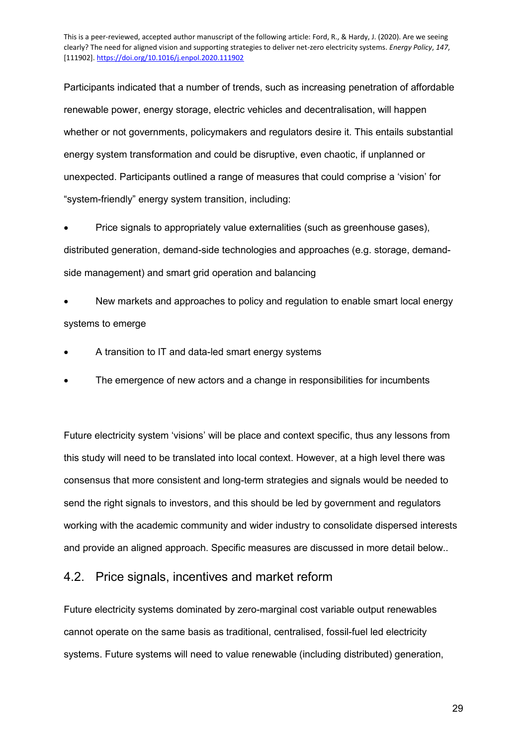Participants indicated that a number of trends, such as increasing penetration of affordable renewable power, energy storage, electric vehicles and decentralisation, will happen whether or not governments, policymakers and regulators desire it. This entails substantial energy system transformation and could be disruptive, even chaotic, if unplanned or unexpected. Participants outlined a range of measures that could comprise a 'vision' for "system-friendly" energy system transition, including:

• Price signals to appropriately value externalities (such as greenhouse gases), distributed generation, demand-side technologies and approaches (e.g. storage, demandside management) and smart grid operation and balancing

 New markets and approaches to policy and regulation to enable smart local energy systems to emerge

- A transition to IT and data-led smart energy systems
- The emergence of new actors and a change in responsibilities for incumbents

Future electricity system 'visions' will be place and context specific, thus any lessons from this study will need to be translated into local context. However, at a high level there was consensus that more consistent and long-term strategies and signals would be needed to send the right signals to investors, and this should be led by government and regulators working with the academic community and wider industry to consolidate dispersed interests and provide an aligned approach. Specific measures are discussed in more detail below..

### 4.2. Price signals, incentives and market reform

Future electricity systems dominated by zero-marginal cost variable output renewables cannot operate on the same basis as traditional, centralised, fossil-fuel led electricity systems. Future systems will need to value renewable (including distributed) generation,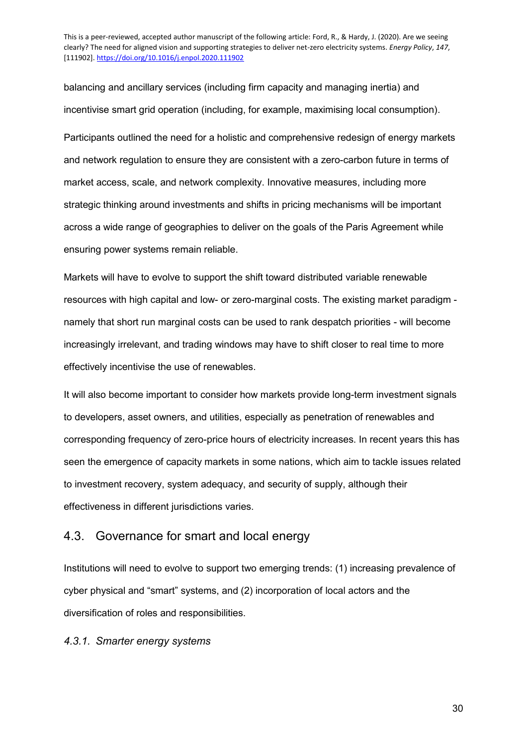balancing and ancillary services (including firm capacity and managing inertia) and incentivise smart grid operation (including, for example, maximising local consumption). Participants outlined the need for a holistic and comprehensive redesign of energy markets and network regulation to ensure they are consistent with a zero-carbon future in terms of market access, scale, and network complexity. Innovative measures, including more strategic thinking around investments and shifts in pricing mechanisms will be important across a wide range of geographies to deliver on the goals of the Paris Agreement while ensuring power systems remain reliable.

Markets will have to evolve to support the shift toward distributed variable renewable resources with high capital and low- or zero-marginal costs. The existing market paradigm namely that short run marginal costs can be used to rank despatch priorities - will become increasingly irrelevant, and trading windows may have to shift closer to real time to more effectively incentivise the use of renewables.

It will also become important to consider how markets provide long-term investment signals to developers, asset owners, and utilities, especially as penetration of renewables and corresponding frequency of zero-price hours of electricity increases. In recent years this has seen the emergence of capacity markets in some nations, which aim to tackle issues related to investment recovery, system adequacy, and security of supply, although their effectiveness in different jurisdictions varies.

#### 4.3. Governance for smart and local energy

Institutions will need to evolve to support two emerging trends: (1) increasing prevalence of cyber physical and "smart" systems, and (2) incorporation of local actors and the diversification of roles and responsibilities.

#### *4.3.1. Smarter energy systems*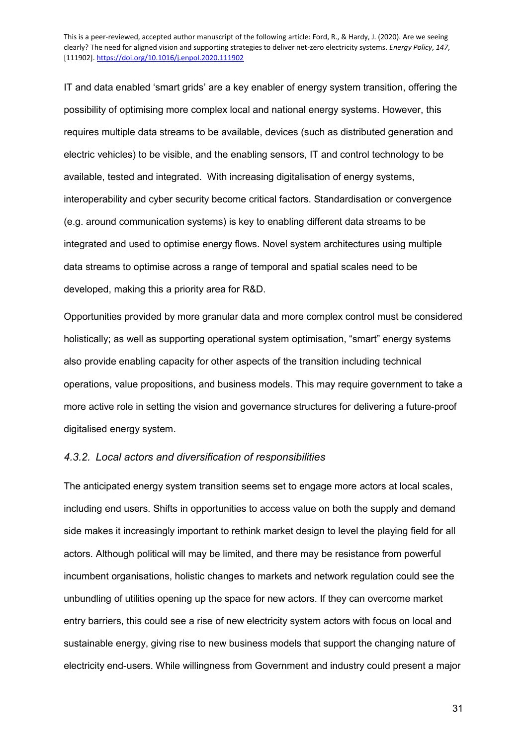IT and data enabled 'smart grids' are a key enabler of energy system transition, offering the possibility of optimising more complex local and national energy systems. However, this requires multiple data streams to be available, devices (such as distributed generation and electric vehicles) to be visible, and the enabling sensors, IT and control technology to be available, tested and integrated. With increasing digitalisation of energy systems, interoperability and cyber security become critical factors. Standardisation or convergence (e.g. around communication systems) is key to enabling different data streams to be integrated and used to optimise energy flows. Novel system architectures using multiple data streams to optimise across a range of temporal and spatial scales need to be developed, making this a priority area for R&D.

Opportunities provided by more granular data and more complex control must be considered holistically; as well as supporting operational system optimisation, "smart" energy systems also provide enabling capacity for other aspects of the transition including technical operations, value propositions, and business models. This may require government to take a more active role in setting the vision and governance structures for delivering a future-proof digitalised energy system.

#### *4.3.2. Local actors and diversification of responsibilities*

The anticipated energy system transition seems set to engage more actors at local scales, including end users. Shifts in opportunities to access value on both the supply and demand side makes it increasingly important to rethink market design to level the playing field for all actors. Although political will may be limited, and there may be resistance from powerful incumbent organisations, holistic changes to markets and network regulation could see the unbundling of utilities opening up the space for new actors. If they can overcome market entry barriers, this could see a rise of new electricity system actors with focus on local and sustainable energy, giving rise to new business models that support the changing nature of electricity end-users. While willingness from Government and industry could present a major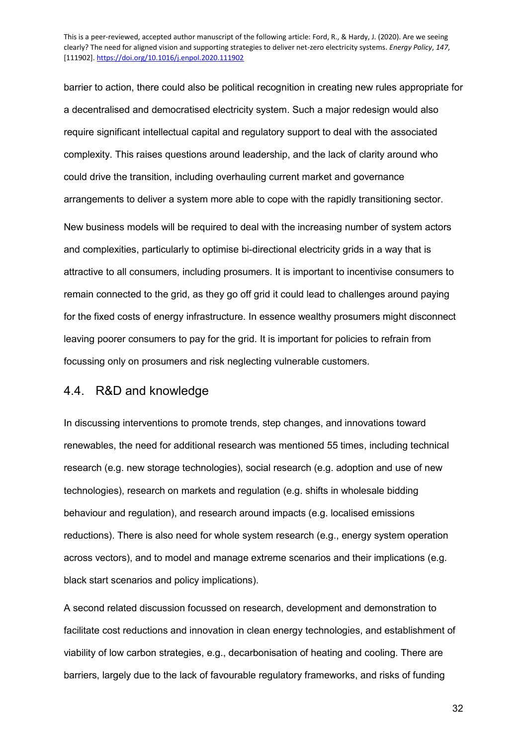barrier to action, there could also be political recognition in creating new rules appropriate for a decentralised and democratised electricity system. Such a major redesign would also require significant intellectual capital and regulatory support to deal with the associated complexity. This raises questions around leadership, and the lack of clarity around who could drive the transition, including overhauling current market and governance arrangements to deliver a system more able to cope with the rapidly transitioning sector.

New business models will be required to deal with the increasing number of system actors and complexities, particularly to optimise bi-directional electricity grids in a way that is attractive to all consumers, including prosumers. It is important to incentivise consumers to remain connected to the grid, as they go off grid it could lead to challenges around paying for the fixed costs of energy infrastructure. In essence wealthy prosumers might disconnect leaving poorer consumers to pay for the grid. It is important for policies to refrain from focussing only on prosumers and risk neglecting vulnerable customers.

#### 4.4. R&D and knowledge

In discussing interventions to promote trends, step changes, and innovations toward renewables, the need for additional research was mentioned 55 times, including technical research (e.g. new storage technologies), social research (e.g. adoption and use of new technologies), research on markets and regulation (e.g. shifts in wholesale bidding behaviour and regulation), and research around impacts (e.g. localised emissions reductions). There is also need for whole system research (e.g., energy system operation across vectors), and to model and manage extreme scenarios and their implications (e.g. black start scenarios and policy implications).

A second related discussion focussed on research, development and demonstration to facilitate cost reductions and innovation in clean energy technologies, and establishment of viability of low carbon strategies, e.g., decarbonisation of heating and cooling. There are barriers, largely due to the lack of favourable regulatory frameworks, and risks of funding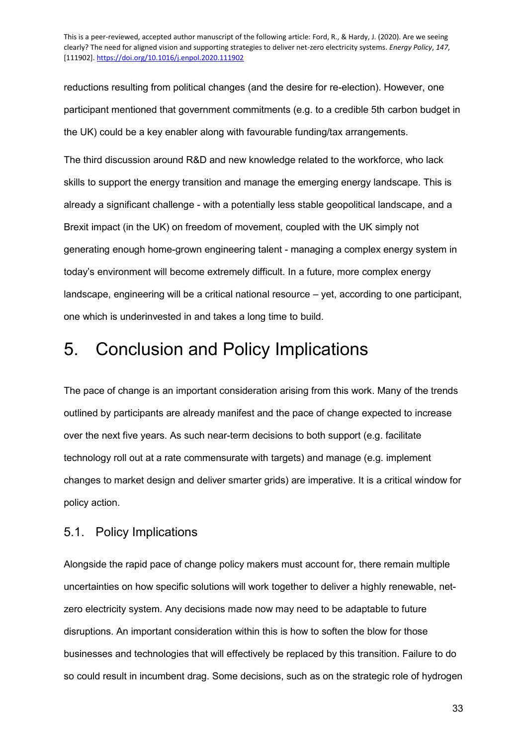reductions resulting from political changes (and the desire for re-election). However, one participant mentioned that government commitments (e.g. to a credible 5th carbon budget in the UK) could be a key enabler along with favourable funding/tax arrangements.

The third discussion around R&D and new knowledge related to the workforce, who lack skills to support the energy transition and manage the emerging energy landscape. This is already a significant challenge - with a potentially less stable geopolitical landscape, and a Brexit impact (in the UK) on freedom of movement, coupled with the UK simply not generating enough home-grown engineering talent - managing a complex energy system in today's environment will become extremely difficult. In a future, more complex energy landscape, engineering will be a critical national resource – yet, according to one participant, one which is underinvested in and takes a long time to build.

# 5. Conclusion and Policy Implications

The pace of change is an important consideration arising from this work. Many of the trends outlined by participants are already manifest and the pace of change expected to increase over the next five years. As such near-term decisions to both support (e.g. facilitate technology roll out at a rate commensurate with targets) and manage (e.g. implement changes to market design and deliver smarter grids) are imperative. It is a critical window for policy action.

### 5.1. Policy Implications

Alongside the rapid pace of change policy makers must account for, there remain multiple uncertainties on how specific solutions will work together to deliver a highly renewable, netzero electricity system. Any decisions made now may need to be adaptable to future disruptions. An important consideration within this is how to soften the blow for those businesses and technologies that will effectively be replaced by this transition. Failure to do so could result in incumbent drag. Some decisions, such as on the strategic role of hydrogen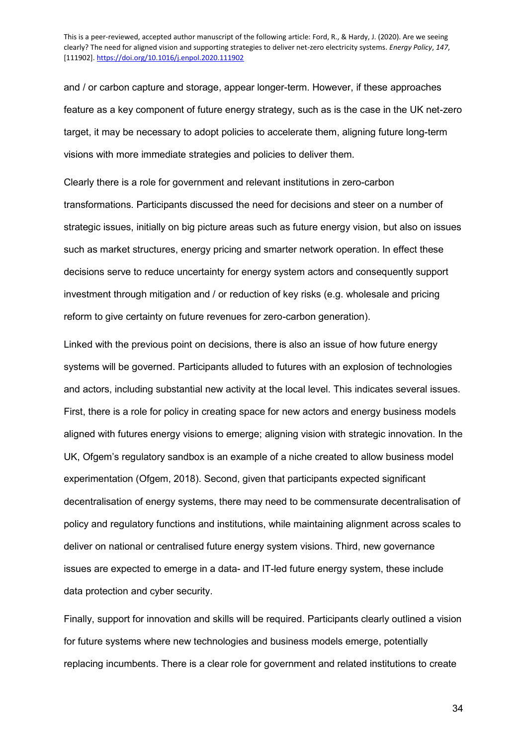and / or carbon capture and storage, appear longer-term. However, if these approaches feature as a key component of future energy strategy, such as is the case in the UK net-zero target, it may be necessary to adopt policies to accelerate them, aligning future long-term visions with more immediate strategies and policies to deliver them.

Clearly there is a role for government and relevant institutions in zero-carbon transformations. Participants discussed the need for decisions and steer on a number of strategic issues, initially on big picture areas such as future energy vision, but also on issues such as market structures, energy pricing and smarter network operation. In effect these decisions serve to reduce uncertainty for energy system actors and consequently support investment through mitigation and / or reduction of key risks (e.g. wholesale and pricing reform to give certainty on future revenues for zero-carbon generation).

Linked with the previous point on decisions, there is also an issue of how future energy systems will be governed. Participants alluded to futures with an explosion of technologies and actors, including substantial new activity at the local level. This indicates several issues. First, there is a role for policy in creating space for new actors and energy business models aligned with futures energy visions to emerge; aligning vision with strategic innovation. In the UK, Ofgem's regulatory sandbox is an example of a niche created to allow business model experimentation (Ofgem, 2018). Second, given that participants expected significant decentralisation of energy systems, there may need to be commensurate decentralisation of policy and regulatory functions and institutions, while maintaining alignment across scales to deliver on national or centralised future energy system visions. Third, new governance issues are expected to emerge in a data- and IT-led future energy system, these include data protection and cyber security.

Finally, support for innovation and skills will be required. Participants clearly outlined a vision for future systems where new technologies and business models emerge, potentially replacing incumbents. There is a clear role for government and related institutions to create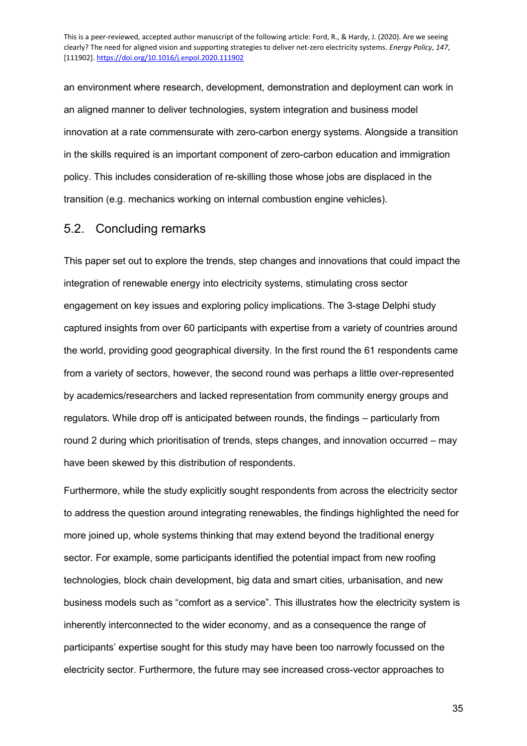an environment where research, development, demonstration and deployment can work in an aligned manner to deliver technologies, system integration and business model innovation at a rate commensurate with zero-carbon energy systems. Alongside a transition in the skills required is an important component of zero-carbon education and immigration policy. This includes consideration of re-skilling those whose jobs are displaced in the transition (e.g. mechanics working on internal combustion engine vehicles).

#### 5.2. Concluding remarks

This paper set out to explore the trends, step changes and innovations that could impact the integration of renewable energy into electricity systems, stimulating cross sector engagement on key issues and exploring policy implications. The 3-stage Delphi study captured insights from over 60 participants with expertise from a variety of countries around the world, providing good geographical diversity. In the first round the 61 respondents came from a variety of sectors, however, the second round was perhaps a little over-represented by academics/researchers and lacked representation from community energy groups and regulators. While drop off is anticipated between rounds, the findings – particularly from round 2 during which prioritisation of trends, steps changes, and innovation occurred – may have been skewed by this distribution of respondents.

Furthermore, while the study explicitly sought respondents from across the electricity sector to address the question around integrating renewables, the findings highlighted the need for more joined up, whole systems thinking that may extend beyond the traditional energy sector. For example, some participants identified the potential impact from new roofing technologies, block chain development, big data and smart cities, urbanisation, and new business models such as "comfort as a service". This illustrates how the electricity system is inherently interconnected to the wider economy, and as a consequence the range of participants' expertise sought for this study may have been too narrowly focussed on the electricity sector. Furthermore, the future may see increased cross-vector approaches to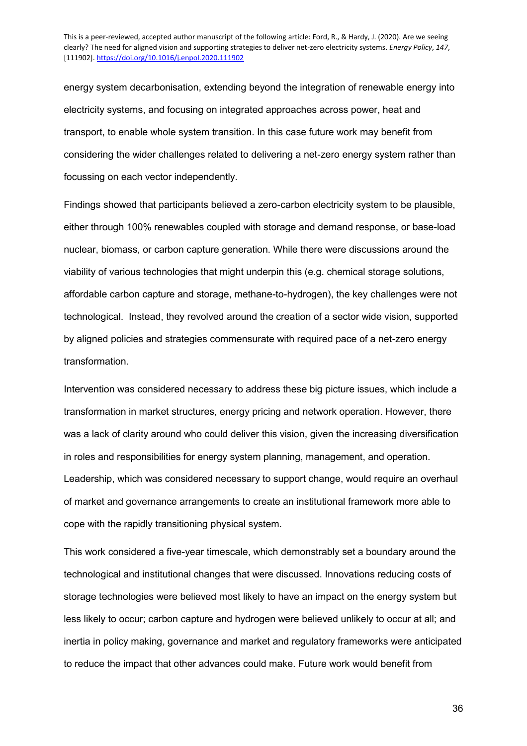energy system decarbonisation, extending beyond the integration of renewable energy into electricity systems, and focusing on integrated approaches across power, heat and transport, to enable whole system transition. In this case future work may benefit from considering the wider challenges related to delivering a net-zero energy system rather than focussing on each vector independently.

Findings showed that participants believed a zero-carbon electricity system to be plausible, either through 100% renewables coupled with storage and demand response, or base-load nuclear, biomass, or carbon capture generation. While there were discussions around the viability of various technologies that might underpin this (e.g. chemical storage solutions, affordable carbon capture and storage, methane-to-hydrogen), the key challenges were not technological. Instead, they revolved around the creation of a sector wide vision, supported by aligned policies and strategies commensurate with required pace of a net-zero energy transformation.

Intervention was considered necessary to address these big picture issues, which include a transformation in market structures, energy pricing and network operation. However, there was a lack of clarity around who could deliver this vision, given the increasing diversification in roles and responsibilities for energy system planning, management, and operation. Leadership, which was considered necessary to support change, would require an overhaul of market and governance arrangements to create an institutional framework more able to cope with the rapidly transitioning physical system.

This work considered a five-year timescale, which demonstrably set a boundary around the technological and institutional changes that were discussed. Innovations reducing costs of storage technologies were believed most likely to have an impact on the energy system but less likely to occur; carbon capture and hydrogen were believed unlikely to occur at all; and inertia in policy making, governance and market and regulatory frameworks were anticipated to reduce the impact that other advances could make. Future work would benefit from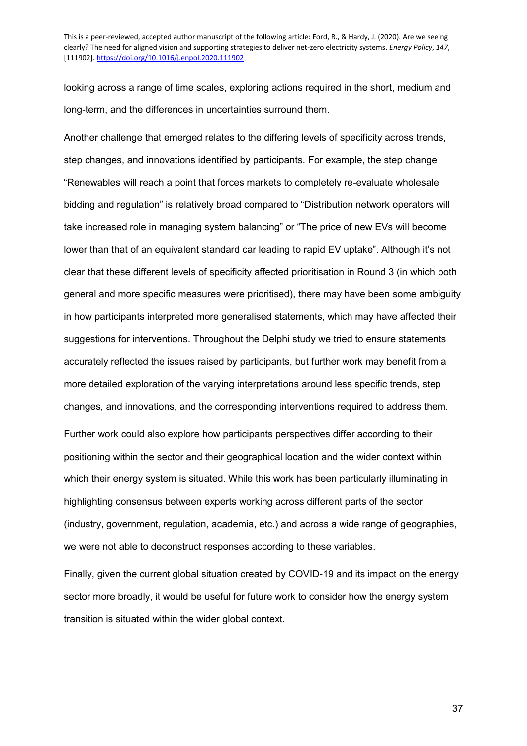looking across a range of time scales, exploring actions required in the short, medium and long-term, and the differences in uncertainties surround them.

Another challenge that emerged relates to the differing levels of specificity across trends, step changes, and innovations identified by participants. For example, the step change "Renewables will reach a point that forces markets to completely re-evaluate wholesale bidding and regulation" is relatively broad compared to "Distribution network operators will take increased role in managing system balancing" or "The price of new EVs will become lower than that of an equivalent standard car leading to rapid EV uptake". Although it's not clear that these different levels of specificity affected prioritisation in Round 3 (in which both general and more specific measures were prioritised), there may have been some ambiguity in how participants interpreted more generalised statements, which may have affected their suggestions for interventions. Throughout the Delphi study we tried to ensure statements accurately reflected the issues raised by participants, but further work may benefit from a more detailed exploration of the varying interpretations around less specific trends, step changes, and innovations, and the corresponding interventions required to address them.

Further work could also explore how participants perspectives differ according to their positioning within the sector and their geographical location and the wider context within which their energy system is situated. While this work has been particularly illuminating in highlighting consensus between experts working across different parts of the sector (industry, government, regulation, academia, etc.) and across a wide range of geographies, we were not able to deconstruct responses according to these variables.

Finally, given the current global situation created by COVID-19 and its impact on the energy sector more broadly, it would be useful for future work to consider how the energy system transition is situated within the wider global context.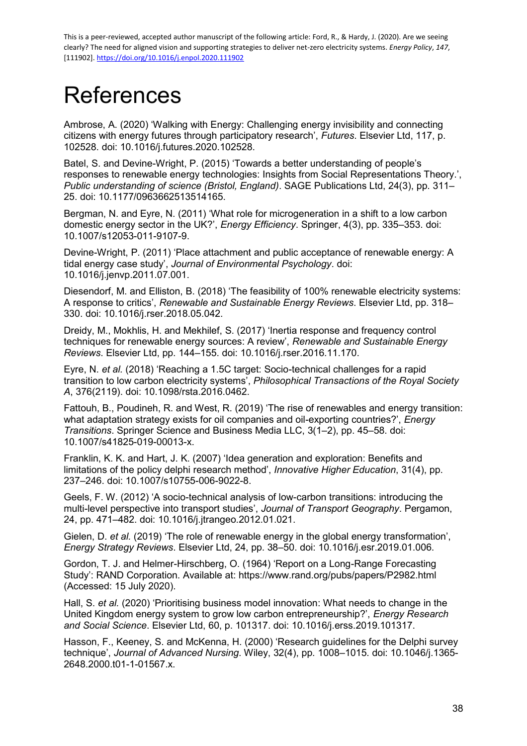# **References**

Ambrose, A. (2020) 'Walking with Energy: Challenging energy invisibility and connecting citizens with energy futures through participatory research', *Futures*. Elsevier Ltd, 117, p. 102528. doi: 10.1016/j.futures.2020.102528.

Batel, S. and Devine-Wright, P. (2015) 'Towards a better understanding of people's responses to renewable energy technologies: Insights from Social Representations Theory.', *Public understanding of science (Bristol, England)*. SAGE Publications Ltd, 24(3), pp. 311– 25. doi: 10.1177/0963662513514165.

Bergman, N. and Eyre, N. (2011) 'What role for microgeneration in a shift to a low carbon domestic energy sector in the UK?', *Energy Efficiency*. Springer, 4(3), pp. 335–353. doi: 10.1007/s12053-011-9107-9.

Devine-Wright, P. (2011) 'Place attachment and public acceptance of renewable energy: A tidal energy case study', *Journal of Environmental Psychology*. doi: 10.1016/j.jenvp.2011.07.001.

Diesendorf, M. and Elliston, B. (2018) 'The feasibility of 100% renewable electricity systems: A response to critics', *Renewable and Sustainable Energy Reviews*. Elsevier Ltd, pp. 318– 330. doi: 10.1016/j.rser.2018.05.042.

Dreidy, M., Mokhlis, H. and Mekhilef, S. (2017) 'Inertia response and frequency control techniques for renewable energy sources: A review', *Renewable and Sustainable Energy Reviews*. Elsevier Ltd, pp. 144–155. doi: 10.1016/j.rser.2016.11.170.

Eyre, N. *et al.* (2018) 'Reaching a 1.5C target: Socio-technical challenges for a rapid transition to low carbon electricity systems', *Philosophical Transactions of the Royal Society A*, 376(2119). doi: 10.1098/rsta.2016.0462.

Fattouh, B., Poudineh, R. and West, R. (2019) 'The rise of renewables and energy transition: what adaptation strategy exists for oil companies and oil-exporting countries?', *Energy Transitions*. Springer Science and Business Media LLC, 3(1–2), pp. 45–58. doi: 10.1007/s41825-019-00013-x.

Franklin, K. K. and Hart, J. K. (2007) 'Idea generation and exploration: Benefits and limitations of the policy delphi research method', *Innovative Higher Education*, 31(4), pp. 237–246. doi: 10.1007/s10755-006-9022-8.

Geels, F. W. (2012) 'A socio-technical analysis of low-carbon transitions: introducing the multi-level perspective into transport studies', *Journal of Transport Geography*. Pergamon, 24, pp. 471–482. doi: 10.1016/j.jtrangeo.2012.01.021.

Gielen, D. *et al.* (2019) 'The role of renewable energy in the global energy transformation', *Energy Strategy Reviews*. Elsevier Ltd, 24, pp. 38–50. doi: 10.1016/j.esr.2019.01.006.

Gordon, T. J. and Helmer-Hirschberg, O. (1964) 'Report on a Long-Range Forecasting Study': RAND Corporation. Available at: https://www.rand.org/pubs/papers/P2982.html (Accessed: 15 July 2020).

Hall, S. *et al.* (2020) 'Prioritising business model innovation: What needs to change in the United Kingdom energy system to grow low carbon entrepreneurship?', *Energy Research and Social Science*. Elsevier Ltd, 60, p. 101317. doi: 10.1016/j.erss.2019.101317.

Hasson, F., Keeney, S. and McKenna, H. (2000) 'Research guidelines for the Delphi survey technique', *Journal of Advanced Nursing*. Wiley, 32(4), pp. 1008–1015. doi: 10.1046/j.1365- 2648.2000.t01-1-01567.x.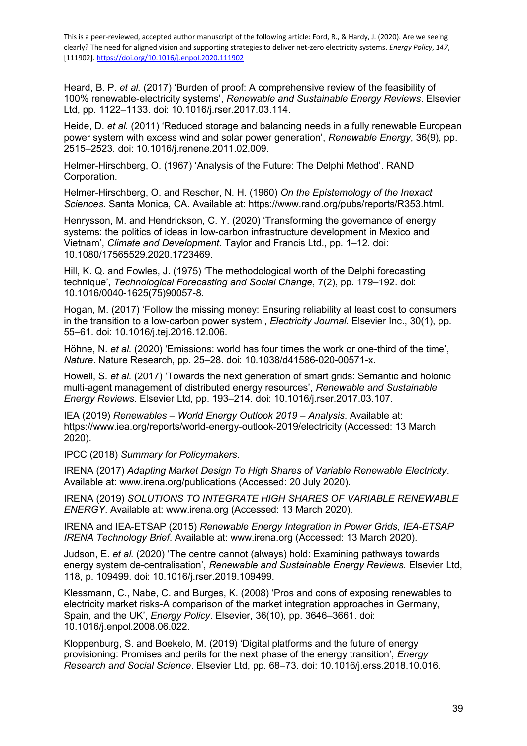Heard, B. P. *et al.* (2017) 'Burden of proof: A comprehensive review of the feasibility of 100% renewable-electricity systems', *Renewable and Sustainable Energy Reviews*. Elsevier Ltd, pp. 1122–1133. doi: 10.1016/j.rser.2017.03.114.

Heide, D. *et al.* (2011) 'Reduced storage and balancing needs in a fully renewable European power system with excess wind and solar power generation', *Renewable Energy*, 36(9), pp. 2515–2523. doi: 10.1016/j.renene.2011.02.009.

Helmer-Hirschberg, O. (1967) 'Analysis of the Future: The Delphi Method'. RAND Corporation.

Helmer-Hirschberg, O. and Rescher, N. H. (1960) *On the Epistemology of the Inexact Sciences*. Santa Monica, CA. Available at: https://www.rand.org/pubs/reports/R353.html.

Henrysson, M. and Hendrickson, C. Y. (2020) 'Transforming the governance of energy systems: the politics of ideas in low-carbon infrastructure development in Mexico and Vietnam', *Climate and Development*. Taylor and Francis Ltd., pp. 1–12. doi: 10.1080/17565529.2020.1723469.

Hill, K. Q. and Fowles, J. (1975) 'The methodological worth of the Delphi forecasting technique', *Technological Forecasting and Social Change*, 7(2), pp. 179–192. doi: 10.1016/0040-1625(75)90057-8.

Hogan, M. (2017) 'Follow the missing money: Ensuring reliability at least cost to consumers in the transition to a low-carbon power system', *Electricity Journal*. Elsevier Inc., 30(1), pp. 55–61. doi: 10.1016/j.tej.2016.12.006.

Höhne, N. *et al.* (2020) 'Emissions: world has four times the work or one-third of the time', *Nature*. Nature Research, pp. 25–28. doi: 10.1038/d41586-020-00571-x.

Howell, S. *et al.* (2017) 'Towards the next generation of smart grids: Semantic and holonic multi-agent management of distributed energy resources', *Renewable and Sustainable Energy Reviews*. Elsevier Ltd, pp. 193–214. doi: 10.1016/j.rser.2017.03.107.

IEA (2019) *Renewables – World Energy Outlook 2019 – Analysis*. Available at: https://www.iea.org/reports/world-energy-outlook-2019/electricity (Accessed: 13 March 2020).

IPCC (2018) *Summary for Policymakers*.

IRENA (2017) *Adapting Market Design To High Shares of Variable Renewable Electricity*. Available at: www.irena.org/publications (Accessed: 20 July 2020).

IRENA (2019) *SOLUTIONS TO INTEGRATE HIGH SHARES OF VARIABLE RENEWABLE ENERGY*. Available at: www.irena.org (Accessed: 13 March 2020).

IRENA and IEA-ETSAP (2015) *Renewable Energy Integration in Power Grids*, *IEA-ETSAP IRENA Technology Brief*. Available at: www.irena.org (Accessed: 13 March 2020).

Judson, E. *et al.* (2020) 'The centre cannot (always) hold: Examining pathways towards energy system de-centralisation', *Renewable and Sustainable Energy Reviews*. Elsevier Ltd, 118, p. 109499. doi: 10.1016/j.rser.2019.109499.

Klessmann, C., Nabe, C. and Burges, K. (2008) 'Pros and cons of exposing renewables to electricity market risks-A comparison of the market integration approaches in Germany, Spain, and the UK', *Energy Policy*. Elsevier, 36(10), pp. 3646–3661. doi: 10.1016/j.enpol.2008.06.022.

Kloppenburg, S. and Boekelo, M. (2019) 'Digital platforms and the future of energy provisioning: Promises and perils for the next phase of the energy transition', *Energy Research and Social Science*. Elsevier Ltd, pp. 68–73. doi: 10.1016/j.erss.2018.10.016.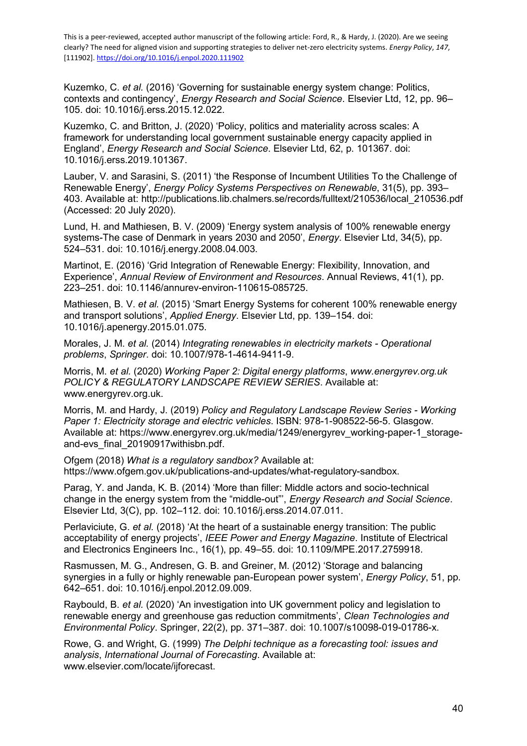Kuzemko, C. *et al.* (2016) 'Governing for sustainable energy system change: Politics, contexts and contingency', *Energy Research and Social Science*. Elsevier Ltd, 12, pp. 96– 105. doi: 10.1016/j.erss.2015.12.022.

Kuzemko, C. and Britton, J. (2020) 'Policy, politics and materiality across scales: A framework for understanding local government sustainable energy capacity applied in England', *Energy Research and Social Science*. Elsevier Ltd, 62, p. 101367. doi: 10.1016/j.erss.2019.101367.

Lauber, V. and Sarasini, S. (2011) 'the Response of Incumbent Utilities To the Challenge of Renewable Energy', *Energy Policy Systems Perspectives on Renewable*, 31(5), pp. 393– 403. Available at: http://publications.lib.chalmers.se/records/fulltext/210536/local\_210536.pdf (Accessed: 20 July 2020).

Lund, H. and Mathiesen, B. V. (2009) 'Energy system analysis of 100% renewable energy systems-The case of Denmark in years 2030 and 2050', *Energy*. Elsevier Ltd, 34(5), pp. 524–531. doi: 10.1016/j.energy.2008.04.003.

Martinot, E. (2016) 'Grid Integration of Renewable Energy: Flexibility, Innovation, and Experience', *Annual Review of Environment and Resources*. Annual Reviews, 41(1), pp. 223–251. doi: 10.1146/annurev-environ-110615-085725.

Mathiesen, B. V. *et al.* (2015) 'Smart Energy Systems for coherent 100% renewable energy and transport solutions', *Applied Energy*. Elsevier Ltd, pp. 139–154. doi: 10.1016/j.apenergy.2015.01.075.

Morales, J. M. *et al.* (2014) *Integrating renewables in electricity markets - Operational problems*, *Springer*. doi: 10.1007/978-1-4614-9411-9.

Morris, M. *et al.* (2020) *Working Paper 2: Digital energy platforms*, *www.energyrev.org.uk POLICY & REGULATORY LANDSCAPE REVIEW SERIES*. Available at: www.energyrev.org.uk.

Morris, M. and Hardy, J. (2019) *Policy and Regulatory Landscape Review Series - Working Paper 1: Electricity storage and electric vehicles*. ISBN: 978-1-908522-56-5. Glasgow. Available at: https://www.energyrev.org.uk/media/1249/energyrev\_working-paper-1\_storageand-evs\_final\_20190917withisbn.pdf.

Ofgem (2018) *What is a regulatory sandbox?* Available at: https://www.ofgem.gov.uk/publications-and-updates/what-regulatory-sandbox.

Parag, Y. and Janda, K. B. (2014) 'More than filler: Middle actors and socio-technical change in the energy system from the "middle-out"', *Energy Research and Social Science*. Elsevier Ltd, 3(C), pp. 102–112. doi: 10.1016/j.erss.2014.07.011.

Perlaviciute, G. *et al.* (2018) 'At the heart of a sustainable energy transition: The public acceptability of energy projects', *IEEE Power and Energy Magazine*. Institute of Electrical and Electronics Engineers Inc., 16(1), pp. 49–55. doi: 10.1109/MPE.2017.2759918.

Rasmussen, M. G., Andresen, G. B. and Greiner, M. (2012) 'Storage and balancing synergies in a fully or highly renewable pan-European power system', *Energy Policy*, 51, pp. 642–651. doi: 10.1016/j.enpol.2012.09.009.

Raybould, B. *et al.* (2020) 'An investigation into UK government policy and legislation to renewable energy and greenhouse gas reduction commitments', *Clean Technologies and Environmental Policy*. Springer, 22(2), pp. 371–387. doi: 10.1007/s10098-019-01786-x.

Rowe, G. and Wright, G. (1999) *The Delphi technique as a forecasting tool: issues and analysis*, *International Journal of Forecasting*. Available at: www.elsevier.com/locate/ijforecast.